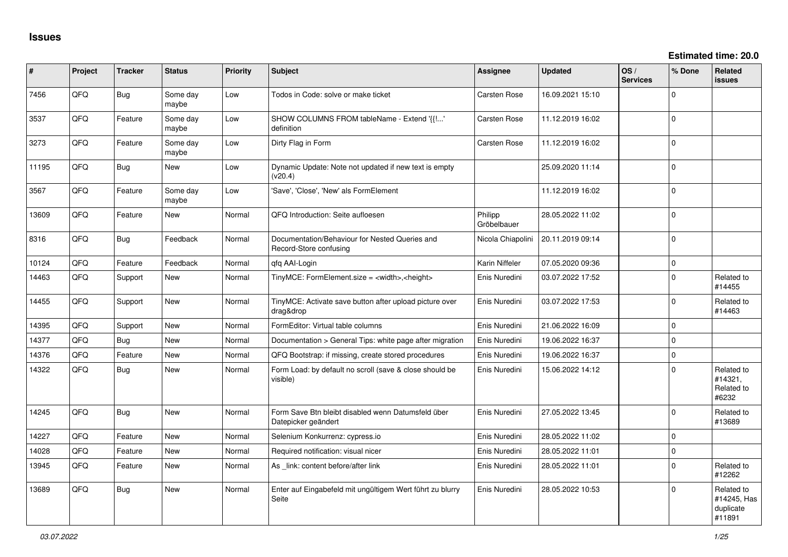| ∦     | Project | <b>Tracker</b> | <b>Status</b>     | <b>Priority</b> | Subject                                                                   | Assignee               | <b>Updated</b>   | OS/<br><b>Services</b> | % Done         | <b>Related</b><br><b>issues</b>                  |
|-------|---------|----------------|-------------------|-----------------|---------------------------------------------------------------------------|------------------------|------------------|------------------------|----------------|--------------------------------------------------|
| 7456  | QFQ     | Bug            | Some day<br>maybe | Low             | Todos in Code: solve or make ticket                                       | <b>Carsten Rose</b>    | 16.09.2021 15:10 |                        | $\Omega$       |                                                  |
| 3537  | QFQ     | Feature        | Some day<br>maybe | Low             | SHOW COLUMNS FROM tableName - Extend '{{!'<br>definition                  | <b>Carsten Rose</b>    | 11.12.2019 16:02 |                        | $\Omega$       |                                                  |
| 3273  | QFQ     | Feature        | Some day<br>maybe | Low             | Dirty Flag in Form                                                        | <b>Carsten Rose</b>    | 11.12.2019 16:02 |                        | $\Omega$       |                                                  |
| 11195 | QFQ     | <b>Bug</b>     | New               | Low             | Dynamic Update: Note not updated if new text is empty<br>(v20.4)          |                        | 25.09.2020 11:14 |                        | $\Omega$       |                                                  |
| 3567  | QFQ     | Feature        | Some day<br>maybe | Low             | 'Save', 'Close', 'New' als FormElement                                    |                        | 11.12.2019 16:02 |                        | $\overline{0}$ |                                                  |
| 13609 | QFQ     | Feature        | <b>New</b>        | Normal          | QFQ Introduction: Seite aufloesen                                         | Philipp<br>Gröbelbauer | 28.05.2022 11:02 |                        | $\overline{0}$ |                                                  |
| 8316  | QFQ     | Bug            | Feedback          | Normal          | Documentation/Behaviour for Nested Queries and<br>Record-Store confusing  | Nicola Chiapolini      | 20.11.2019 09:14 |                        | $\Omega$       |                                                  |
| 10124 | QFQ     | Feature        | Feedback          | Normal          | qfq AAI-Login                                                             | Karin Niffeler         | 07.05.2020 09:36 |                        | $\Omega$       |                                                  |
| 14463 | QFQ     | Support        | New               | Normal          | TinyMCE: FormElement.size = <width>,<height></height></width>             | Enis Nuredini          | 03.07.2022 17:52 |                        | $\Omega$       | Related to<br>#14455                             |
| 14455 | QFQ     | Support        | New               | Normal          | TinyMCE: Activate save button after upload picture over<br>drag&drop      | Enis Nuredini          | 03.07.2022 17:53 |                        | $\Omega$       | Related to<br>#14463                             |
| 14395 | QFQ     | Support        | New               | Normal          | FormEditor: Virtual table columns                                         | Enis Nuredini          | 21.06.2022 16:09 |                        | $\overline{0}$ |                                                  |
| 14377 | QFQ     | Bug            | New               | Normal          | Documentation > General Tips: white page after migration                  | Enis Nuredini          | 19.06.2022 16:37 |                        | $\Omega$       |                                                  |
| 14376 | QFQ     | Feature        | New               | Normal          | QFQ Bootstrap: if missing, create stored procedures                       | Enis Nuredini          | 19.06.2022 16:37 |                        | $\Omega$       |                                                  |
| 14322 | QFQ     | Bug            | New               | Normal          | Form Load: by default no scroll (save & close should be<br>visible)       | Enis Nuredini          | 15.06.2022 14:12 |                        | $\Omega$       | Related to<br>#14321.<br>Related to<br>#6232     |
| 14245 | QFQ     | Bug            | New               | Normal          | Form Save Btn bleibt disabled wenn Datumsfeld über<br>Datepicker geändert | Enis Nuredini          | 27.05.2022 13:45 |                        | $\Omega$       | Related to<br>#13689                             |
| 14227 | QFQ     | Feature        | New               | Normal          | Selenium Konkurrenz: cypress.io                                           | Enis Nuredini          | 28.05.2022 11:02 |                        | $\overline{0}$ |                                                  |
| 14028 | QFQ     | Feature        | New               | Normal          | Required notification: visual nicer                                       | Enis Nuredini          | 28.05.2022 11:01 |                        | $\Omega$       |                                                  |
| 13945 | QFQ     | Feature        | New               | Normal          | As _link: content before/after link                                       | Enis Nuredini          | 28.05.2022 11:01 |                        | $\Omega$       | Related to<br>#12262                             |
| 13689 | QFQ     | <b>Bug</b>     | New               | Normal          | Enter auf Eingabefeld mit ungültigem Wert führt zu blurry<br>Seite        | Enis Nuredini          | 28.05.2022 10:53 |                        | $\Omega$       | Related to<br>#14245, Has<br>duplicate<br>#11891 |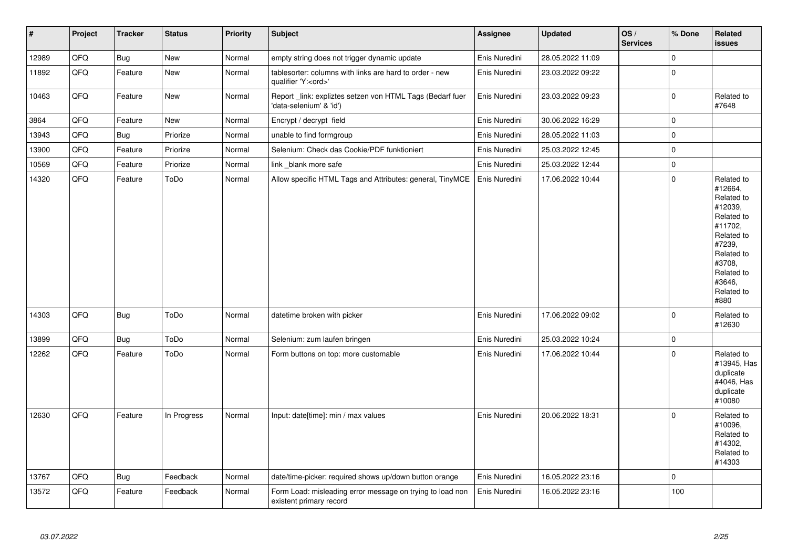| $\vert$ # | Project | <b>Tracker</b> | <b>Status</b> | Priority | Subject                                                                               | Assignee      | <b>Updated</b>   | OS/<br><b>Services</b> | % Done              | Related<br><b>issues</b>                                                                                                                                              |
|-----------|---------|----------------|---------------|----------|---------------------------------------------------------------------------------------|---------------|------------------|------------------------|---------------------|-----------------------------------------------------------------------------------------------------------------------------------------------------------------------|
| 12989     | QFQ     | <b>Bug</b>     | New           | Normal   | empty string does not trigger dynamic update                                          | Enis Nuredini | 28.05.2022 11:09 |                        | $\mathsf{O}\xspace$ |                                                                                                                                                                       |
| 11892     | QFQ     | Feature        | New           | Normal   | tablesorter: columns with links are hard to order - new<br>qualifier 'Y: <ord>'</ord> | Enis Nuredini | 23.03.2022 09:22 |                        | $\mathbf 0$         |                                                                                                                                                                       |
| 10463     | QFQ     | Feature        | New           | Normal   | Report link: expliztes setzen von HTML Tags (Bedarf fuer<br>'data-selenium' & 'id')   | Enis Nuredini | 23.03.2022 09:23 |                        | $\pmb{0}$           | Related to<br>#7648                                                                                                                                                   |
| 3864      | QFQ     | Feature        | New           | Normal   | Encrypt / decrypt field                                                               | Enis Nuredini | 30.06.2022 16:29 |                        | $\mathbf 0$         |                                                                                                                                                                       |
| 13943     | QFQ     | <b>Bug</b>     | Priorize      | Normal   | unable to find formgroup                                                              | Enis Nuredini | 28.05.2022 11:03 |                        | $\pmb{0}$           |                                                                                                                                                                       |
| 13900     | QFQ     | Feature        | Priorize      | Normal   | Selenium: Check das Cookie/PDF funktioniert                                           | Enis Nuredini | 25.03.2022 12:45 |                        | $\mathbf 0$         |                                                                                                                                                                       |
| 10569     | QFQ     | Feature        | Priorize      | Normal   | link _blank more safe                                                                 | Enis Nuredini | 25.03.2022 12:44 |                        | $\mathbf 0$         |                                                                                                                                                                       |
| 14320     | QFQ     | Feature        | ToDo          | Normal   | Allow specific HTML Tags and Attributes: general, TinyMCE                             | Enis Nuredini | 17.06.2022 10:44 |                        | $\mathbf 0$         | Related to<br>#12664,<br>Related to<br>#12039.<br>Related to<br>#11702.<br>Related to<br>#7239,<br>Related to<br>#3708.<br>Related to<br>#3646,<br>Related to<br>#880 |
| 14303     | QFQ     | <b>Bug</b>     | ToDo          | Normal   | datetime broken with picker                                                           | Enis Nuredini | 17.06.2022 09:02 |                        | $\Omega$            | Related to<br>#12630                                                                                                                                                  |
| 13899     | QFQ     | <b>Bug</b>     | ToDo          | Normal   | Selenium: zum laufen bringen                                                          | Enis Nuredini | 25.03.2022 10:24 |                        | $\mathsf{O}\xspace$ |                                                                                                                                                                       |
| 12262     | QFQ     | Feature        | ToDo          | Normal   | Form buttons on top: more customable                                                  | Enis Nuredini | 17.06.2022 10:44 |                        | $\mathbf 0$         | Related to<br>#13945, Has<br>duplicate<br>#4046, Has<br>duplicate<br>#10080                                                                                           |
| 12630     | QFQ     | Feature        | In Progress   | Normal   | Input: date[time]: min / max values                                                   | Enis Nuredini | 20.06.2022 18:31 |                        | $\mathbf 0$         | Related to<br>#10096,<br>Related to<br>#14302,<br>Related to<br>#14303                                                                                                |
| 13767     | QFQ     | <b>Bug</b>     | Feedback      | Normal   | date/time-picker: required shows up/down button orange                                | Enis Nuredini | 16.05.2022 23:16 |                        | $\pmb{0}$           |                                                                                                                                                                       |
| 13572     | QFQ     | Feature        | Feedback      | Normal   | Form Load: misleading error message on trying to load non<br>existent primary record  | Enis Nuredini | 16.05.2022 23:16 |                        | 100                 |                                                                                                                                                                       |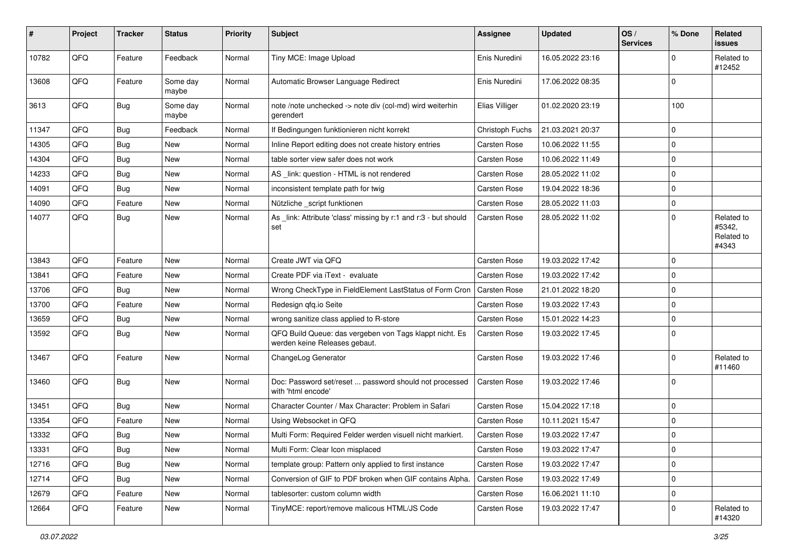| ∦     | Project | <b>Tracker</b> | <b>Status</b>     | <b>Priority</b> | Subject                                                                                  | Assignee            | <b>Updated</b>   | OS/<br><b>Services</b> | % Done      | Related<br>issues                           |
|-------|---------|----------------|-------------------|-----------------|------------------------------------------------------------------------------------------|---------------------|------------------|------------------------|-------------|---------------------------------------------|
| 10782 | QFQ     | Feature        | Feedback          | Normal          | Tiny MCE: Image Upload                                                                   | Enis Nuredini       | 16.05.2022 23:16 |                        | $\Omega$    | Related to<br>#12452                        |
| 13608 | QFQ     | Feature        | Some day<br>maybe | Normal          | Automatic Browser Language Redirect                                                      | Enis Nuredini       | 17.06.2022 08:35 |                        | 0           |                                             |
| 3613  | QFQ     | <b>Bug</b>     | Some day<br>maybe | Normal          | note /note unchecked -> note div (col-md) wird weiterhin<br>gerendert                    | Elias Villiger      | 01.02.2020 23:19 |                        | 100         |                                             |
| 11347 | QFQ     | <b>Bug</b>     | Feedback          | Normal          | If Bedingungen funktionieren nicht korrekt                                               | Christoph Fuchs     | 21.03.2021 20:37 |                        | 0           |                                             |
| 14305 | QFQ     | Bug            | New               | Normal          | Inline Report editing does not create history entries                                    | Carsten Rose        | 10.06.2022 11:55 |                        | $\Omega$    |                                             |
| 14304 | QFQ     | <b>Bug</b>     | <b>New</b>        | Normal          | table sorter view safer does not work                                                    | Carsten Rose        | 10.06.2022 11:49 |                        | 0           |                                             |
| 14233 | QFQ     | Bug            | New               | Normal          | AS link: question - HTML is not rendered                                                 | Carsten Rose        | 28.05.2022 11:02 |                        | $\Omega$    |                                             |
| 14091 | QFQ     | <b>Bug</b>     | <b>New</b>        | Normal          | inconsistent template path for twig                                                      | Carsten Rose        | 19.04.2022 18:36 |                        | $\mathbf 0$ |                                             |
| 14090 | QFQ     | Feature        | <b>New</b>        | Normal          | Nützliche _script funktionen                                                             | Carsten Rose        | 28.05.2022 11:03 |                        | 0           |                                             |
| 14077 | QFQ     | Bug            | <b>New</b>        | Normal          | As _link: Attribute 'class' missing by r:1 and r:3 - but should<br>set                   | Carsten Rose        | 28.05.2022 11:02 |                        | $\Omega$    | Related to<br>#5342,<br>Related to<br>#4343 |
| 13843 | QFQ     | Feature        | <b>New</b>        | Normal          | Create JWT via QFQ                                                                       | Carsten Rose        | 19.03.2022 17:42 |                        | $\mathbf 0$ |                                             |
| 13841 | QFQ     | Feature        | New               | Normal          | Create PDF via iText - evaluate                                                          | Carsten Rose        | 19.03.2022 17:42 |                        | $\mathbf 0$ |                                             |
| 13706 | QFQ     | <b>Bug</b>     | <b>New</b>        | Normal          | Wrong CheckType in FieldElement LastStatus of Form Cron                                  | <b>Carsten Rose</b> | 21.01.2022 18:20 |                        | $\Omega$    |                                             |
| 13700 | QFQ     | Feature        | <b>New</b>        | Normal          | Redesign qfq.io Seite                                                                    | Carsten Rose        | 19.03.2022 17:43 |                        | 0           |                                             |
| 13659 | QFQ     | Bug            | New               | Normal          | wrong sanitize class applied to R-store                                                  | Carsten Rose        | 15.01.2022 14:23 |                        | $\Omega$    |                                             |
| 13592 | QFQ     | <b>Bug</b>     | <b>New</b>        | Normal          | QFQ Build Queue: das vergeben von Tags klappt nicht. Es<br>werden keine Releases gebaut. | Carsten Rose        | 19.03.2022 17:45 |                        | $\Omega$    |                                             |
| 13467 | QFQ     | Feature        | New               | Normal          | ChangeLog Generator                                                                      | Carsten Rose        | 19.03.2022 17:46 |                        | $\Omega$    | Related to<br>#11460                        |
| 13460 | QFQ     | Bug            | New               | Normal          | Doc: Password set/reset  password should not processed<br>with 'html encode'             | Carsten Rose        | 19.03.2022 17:46 |                        | $\mathbf 0$ |                                             |
| 13451 | QFQ     | <b>Bug</b>     | <b>New</b>        | Normal          | Character Counter / Max Character: Problem in Safari                                     | Carsten Rose        | 15.04.2022 17:18 |                        | 0           |                                             |
| 13354 | QFQ     | Feature        | New               | Normal          | Using Websocket in QFQ                                                                   | Carsten Rose        | 10.11.2021 15:47 |                        | 0           |                                             |
| 13332 | QFQ     | <b>Bug</b>     | New               | Normal          | Multi Form: Required Felder werden visuell nicht markiert.                               | Carsten Rose        | 19.03.2022 17:47 |                        | $\mathbf 0$ |                                             |
| 13331 | QFQ     | <b>Bug</b>     | New               | Normal          | Multi Form: Clear Icon misplaced                                                         | Carsten Rose        | 19.03.2022 17:47 |                        | 0           |                                             |
| 12716 | QFG     | <b>Bug</b>     | New               | Normal          | template group: Pattern only applied to first instance                                   | Carsten Rose        | 19.03.2022 17:47 |                        | $\mathbf 0$ |                                             |
| 12714 | QFQ     | <b>Bug</b>     | New               | Normal          | Conversion of GIF to PDF broken when GIF contains Alpha.                                 | Carsten Rose        | 19.03.2022 17:49 |                        | $\mathbf 0$ |                                             |
| 12679 | QFQ     | Feature        | New               | Normal          | tablesorter: custom column width                                                         | Carsten Rose        | 16.06.2021 11:10 |                        | $\mathbf 0$ |                                             |
| 12664 | QFQ     | Feature        | New               | Normal          | TinyMCE: report/remove malicous HTML/JS Code                                             | Carsten Rose        | 19.03.2022 17:47 |                        | $\mathbf 0$ | Related to<br>#14320                        |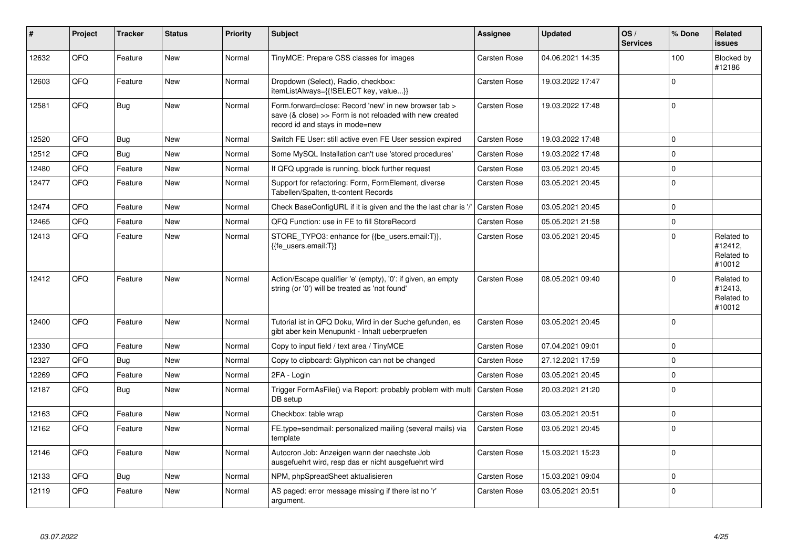| #     | Project | <b>Tracker</b> | <b>Status</b> | Priority | <b>Subject</b>                                                                                                                                      | Assignee            | <b>Updated</b>   | OS/<br><b>Services</b> | % Done         | Related<br>issues                             |
|-------|---------|----------------|---------------|----------|-----------------------------------------------------------------------------------------------------------------------------------------------------|---------------------|------------------|------------------------|----------------|-----------------------------------------------|
| 12632 | QFQ     | Feature        | <b>New</b>    | Normal   | TinyMCE: Prepare CSS classes for images                                                                                                             | <b>Carsten Rose</b> | 04.06.2021 14:35 |                        | 100            | Blocked by<br>#12186                          |
| 12603 | QFQ     | Feature        | <b>New</b>    | Normal   | Dropdown (Select), Radio, checkbox:<br>itemListAlways={{!SELECT key, value}}                                                                        | Carsten Rose        | 19.03.2022 17:47 |                        | $\Omega$       |                                               |
| 12581 | QFQ     | <b>Bug</b>     | <b>New</b>    | Normal   | Form.forward=close: Record 'new' in new browser tab ><br>save (& close) >> Form is not reloaded with new created<br>record id and stays in mode=new | Carsten Rose        | 19.03.2022 17:48 |                        | $\overline{0}$ |                                               |
| 12520 | QFQ     | Bug            | New           | Normal   | Switch FE User: still active even FE User session expired                                                                                           | Carsten Rose        | 19.03.2022 17:48 |                        | $\mathbf 0$    |                                               |
| 12512 | QFQ     | Bug            | New           | Normal   | Some MySQL Installation can't use 'stored procedures'                                                                                               | <b>Carsten Rose</b> | 19.03.2022 17:48 |                        | 0              |                                               |
| 12480 | QFQ     | Feature        | <b>New</b>    | Normal   | If QFQ upgrade is running, block further request                                                                                                    | <b>Carsten Rose</b> | 03.05.2021 20:45 |                        | $\Omega$       |                                               |
| 12477 | QFQ     | Feature        | <b>New</b>    | Normal   | Support for refactoring: Form, FormElement, diverse<br>Tabellen/Spalten, tt-content Records                                                         | <b>Carsten Rose</b> | 03.05.2021 20:45 |                        | $\overline{0}$ |                                               |
| 12474 | QFQ     | Feature        | New           | Normal   | Check BaseConfigURL if it is given and the the last char is 7                                                                                       | Carsten Rose        | 03.05.2021 20:45 |                        | $\Omega$       |                                               |
| 12465 | QFQ     | Feature        | <b>New</b>    | Normal   | QFQ Function: use in FE to fill StoreRecord                                                                                                         | <b>Carsten Rose</b> | 05.05.2021 21:58 |                        | $\Omega$       |                                               |
| 12413 | QFQ     | Feature        | New           | Normal   | STORE_TYPO3: enhance for {{be_users.email:T}},<br>{{fe users.email:T}}                                                                              | <b>Carsten Rose</b> | 03.05.2021 20:45 |                        | $\Omega$       | Related to<br>#12412,<br>Related to<br>#10012 |
| 12412 | QFQ     | Feature        | New           | Normal   | Action/Escape qualifier 'e' (empty), '0': if given, an empty<br>string (or '0') will be treated as 'not found'                                      | <b>Carsten Rose</b> | 08.05.2021 09:40 |                        | $\Omega$       | Related to<br>#12413,<br>Related to<br>#10012 |
| 12400 | QFQ     | Feature        | <b>New</b>    | Normal   | Tutorial ist in QFQ Doku, Wird in der Suche gefunden, es<br>gibt aber kein Menupunkt - Inhalt ueberpruefen                                          | <b>Carsten Rose</b> | 03.05.2021 20:45 |                        | $\overline{0}$ |                                               |
| 12330 | QFQ     | Feature        | <b>New</b>    | Normal   | Copy to input field / text area / TinyMCE                                                                                                           | <b>Carsten Rose</b> | 07.04.2021 09:01 |                        | $\Omega$       |                                               |
| 12327 | QFQ     | Bug            | <b>New</b>    | Normal   | Copy to clipboard: Glyphicon can not be changed                                                                                                     | <b>Carsten Rose</b> | 27.12.2021 17:59 |                        | 0              |                                               |
| 12269 | QFQ     | Feature        | New           | Normal   | 2FA - Login                                                                                                                                         | Carsten Rose        | 03.05.2021 20:45 |                        | $\Omega$       |                                               |
| 12187 | QFQ     | <b>Bug</b>     | New           | Normal   | Trigger FormAsFile() via Report: probably problem with multi<br>DB setup                                                                            | <b>Carsten Rose</b> | 20.03.2021 21:20 |                        | $\Omega$       |                                               |
| 12163 | QFQ     | Feature        | <b>New</b>    | Normal   | Checkbox: table wrap                                                                                                                                | <b>Carsten Rose</b> | 03.05.2021 20:51 |                        | $\Omega$       |                                               |
| 12162 | QFQ     | Feature        | New           | Normal   | FE.type=sendmail: personalized mailing (several mails) via<br>template                                                                              | Carsten Rose        | 03.05.2021 20:45 |                        | $\Omega$       |                                               |
| 12146 | QFQ     | Feature        | New           | Normal   | Autocron Job: Anzeigen wann der naechste Job<br>ausgefuehrt wird, resp das er nicht ausgefuehrt wird                                                | <b>Carsten Rose</b> | 15.03.2021 15:23 |                        | $\Omega$       |                                               |
| 12133 | QFQ     | <b>Bug</b>     | New           | Normal   | NPM, phpSpreadSheet aktualisieren                                                                                                                   | <b>Carsten Rose</b> | 15.03.2021 09:04 |                        | $\overline{0}$ |                                               |
| 12119 | QFQ     | Feature        | <b>New</b>    | Normal   | AS paged: error message missing if there ist no 'r'<br>argument.                                                                                    | <b>Carsten Rose</b> | 03.05.2021 20:51 |                        | $\Omega$       |                                               |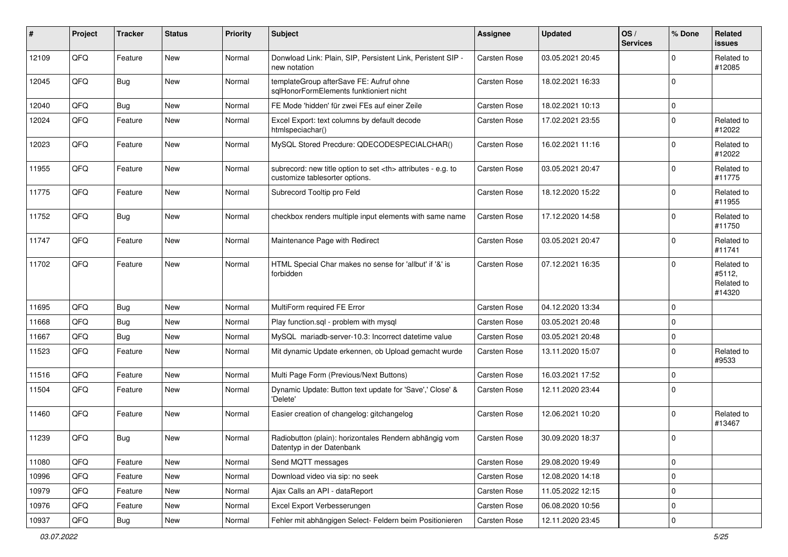| #     | Project | <b>Tracker</b> | <b>Status</b> | <b>Priority</b> | Subject                                                                                              | Assignee                                               | <b>Updated</b>   | OS/<br><b>Services</b> | % Done      | Related<br>issues                            |                      |
|-------|---------|----------------|---------------|-----------------|------------------------------------------------------------------------------------------------------|--------------------------------------------------------|------------------|------------------------|-------------|----------------------------------------------|----------------------|
| 12109 | QFQ     | Feature        | New           | Normal          | Donwload Link: Plain, SIP, Persistent Link, Peristent SIP -<br>new notation                          | <b>Carsten Rose</b>                                    | 03.05.2021 20:45 |                        | $\Omega$    | Related to<br>#12085                         |                      |
| 12045 | QFQ     | <b>Bug</b>     | <b>New</b>    | Normal          | templateGroup afterSave FE: Aufruf ohne<br>sqlHonorFormElements funktioniert nicht                   | Carsten Rose                                           | 18.02.2021 16:33 |                        | $\mathbf 0$ |                                              |                      |
| 12040 | QFQ     | <b>Bug</b>     | <b>New</b>    | Normal          | FE Mode 'hidden' für zwei FEs auf einer Zeile                                                        | Carsten Rose                                           | 18.02.2021 10:13 |                        | 0           |                                              |                      |
| 12024 | QFQ     | Feature        | <b>New</b>    | Normal          | Excel Export: text columns by default decode<br>htmlspeciachar()                                     | Carsten Rose                                           | 17.02.2021 23:55 |                        | $\mathbf 0$ | Related to<br>#12022                         |                      |
| 12023 | QFQ     | Feature        | New           | Normal          | MySQL Stored Precdure: QDECODESPECIALCHAR()                                                          | Carsten Rose                                           | 16.02.2021 11:16 |                        | $\Omega$    | Related to<br>#12022                         |                      |
| 11955 | QFQ     | Feature        | <b>New</b>    | Normal          | subrecord: new title option to set <th> attributes - e.g. to<br/>customize tablesorter options.</th> | attributes - e.g. to<br>customize tablesorter options. | Carsten Rose     | 03.05.2021 20:47       |             | $\mathbf 0$                                  | Related to<br>#11775 |
| 11775 | QFQ     | Feature        | New           | Normal          | Subrecord Tooltip pro Feld                                                                           | Carsten Rose                                           | 18.12.2020 15:22 |                        | $\mathbf 0$ | Related to<br>#11955                         |                      |
| 11752 | QFQ     | Bug            | <b>New</b>    | Normal          | checkbox renders multiple input elements with same name                                              | Carsten Rose                                           | 17.12.2020 14:58 |                        | $\mathbf 0$ | Related to<br>#11750                         |                      |
| 11747 | QFQ     | Feature        | New           | Normal          | Maintenance Page with Redirect                                                                       | Carsten Rose                                           | 03.05.2021 20:47 |                        | $\mathbf 0$ | Related to<br>#11741                         |                      |
| 11702 | QFQ     | Feature        | New           | Normal          | HTML Special Char makes no sense for 'allbut' if '&' is<br>forbidden                                 | Carsten Rose                                           | 07.12.2021 16:35 |                        | $\Omega$    | Related to<br>#5112,<br>Related to<br>#14320 |                      |
| 11695 | QFQ     | <b>Bug</b>     | <b>New</b>    | Normal          | MultiForm required FE Error                                                                          | Carsten Rose                                           | 04.12.2020 13:34 |                        | $\mathbf 0$ |                                              |                      |
| 11668 | QFQ     | <b>Bug</b>     | <b>New</b>    | Normal          | Play function.sql - problem with mysql                                                               | Carsten Rose                                           | 03.05.2021 20:48 |                        | $\mathbf 0$ |                                              |                      |
| 11667 | QFQ     | Bug            | <b>New</b>    | Normal          | MySQL mariadb-server-10.3: Incorrect datetime value                                                  | <b>Carsten Rose</b>                                    | 03.05.2021 20:48 |                        | 0           |                                              |                      |
| 11523 | QFQ     | Feature        | New           | Normal          | Mit dynamic Update erkennen, ob Upload gemacht wurde                                                 | Carsten Rose                                           | 13.11.2020 15:07 |                        | $\mathbf 0$ | Related to<br>#9533                          |                      |
| 11516 | QFQ     | Feature        | <b>New</b>    | Normal          | Multi Page Form (Previous/Next Buttons)                                                              | Carsten Rose                                           | 16.03.2021 17:52 |                        | $\mathbf 0$ |                                              |                      |
| 11504 | QFQ     | Feature        | New           | Normal          | Dynamic Update: Button text update for 'Save',' Close' &<br>'Delete'                                 | Carsten Rose                                           | 12.11.2020 23:44 |                        | $\mathbf 0$ |                                              |                      |
| 11460 | QFQ     | Feature        | <b>New</b>    | Normal          | Easier creation of changelog: gitchangelog                                                           | Carsten Rose                                           | 12.06.2021 10:20 |                        | $\Omega$    | Related to<br>#13467                         |                      |
| 11239 | QFQ     | <b>Bug</b>     | New           | Normal          | Radiobutton (plain): horizontales Rendern abhängig vom<br>Datentyp in der Datenbank                  | Carsten Rose                                           | 30.09.2020 18:37 |                        | 0           |                                              |                      |
| 11080 | QFQ     | Feature        | New           | Normal          | Send MQTT messages                                                                                   | Carsten Rose                                           | 29.08.2020 19:49 |                        | $\mathbf 0$ |                                              |                      |
| 10996 | QFQ     | Feature        | New           | Normal          | Download video via sip: no seek                                                                      | Carsten Rose                                           | 12.08.2020 14:18 |                        | 0           |                                              |                      |
| 10979 | QFQ     | Feature        | New           | Normal          | Ajax Calls an API - dataReport                                                                       | Carsten Rose                                           | 11.05.2022 12:15 |                        | 0           |                                              |                      |
| 10976 | QFQ     | Feature        | New           | Normal          | Excel Export Verbesserungen                                                                          | Carsten Rose                                           | 06.08.2020 10:56 |                        | 0           |                                              |                      |
| 10937 | QFG     | Bug            | New           | Normal          | Fehler mit abhängigen Select- Feldern beim Positionieren                                             | Carsten Rose                                           | 12.11.2020 23:45 |                        | 0           |                                              |                      |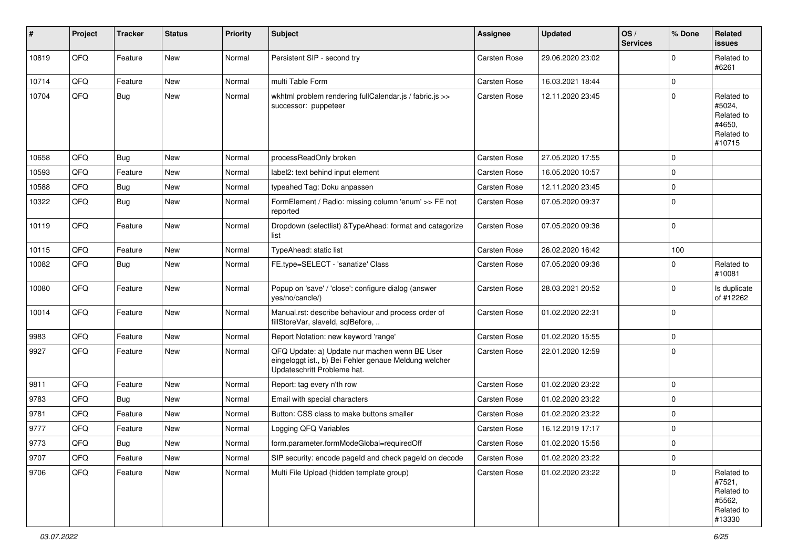| #     | Project | <b>Tracker</b> | <b>Status</b> | <b>Priority</b> | <b>Subject</b>                                                                                                                        | <b>Assignee</b>     | <b>Updated</b>   | OS/<br><b>Services</b> | % Done      | Related<br><b>issues</b>                                             |
|-------|---------|----------------|---------------|-----------------|---------------------------------------------------------------------------------------------------------------------------------------|---------------------|------------------|------------------------|-------------|----------------------------------------------------------------------|
| 10819 | QFQ     | Feature        | New           | Normal          | Persistent SIP - second try                                                                                                           | Carsten Rose        | 29.06.2020 23:02 |                        | $\Omega$    | Related to<br>#6261                                                  |
| 10714 | QFQ     | Feature        | <b>New</b>    | Normal          | multi Table Form                                                                                                                      | Carsten Rose        | 16.03.2021 18:44 |                        | $\mathbf 0$ |                                                                      |
| 10704 | QFQ     | Bug            | New           | Normal          | wkhtml problem rendering fullCalendar.js / fabric.js >><br>successor: puppeteer                                                       | <b>Carsten Rose</b> | 12.11.2020 23:45 |                        | $\mathbf 0$ | Related to<br>#5024,<br>Related to<br>#4650,<br>Related to<br>#10715 |
| 10658 | QFQ     | Bug            | <b>New</b>    | Normal          | processReadOnly broken                                                                                                                | Carsten Rose        | 27.05.2020 17:55 |                        | $\mathbf 0$ |                                                                      |
| 10593 | QFQ     | Feature        | <b>New</b>    | Normal          | label2: text behind input element                                                                                                     | <b>Carsten Rose</b> | 16.05.2020 10:57 |                        | $\mathbf 0$ |                                                                      |
| 10588 | QFQ     | Bug            | New           | Normal          | typeahed Tag: Doku anpassen                                                                                                           | Carsten Rose        | 12.11.2020 23:45 |                        | $\mathbf 0$ |                                                                      |
| 10322 | QFQ     | Bug            | New           | Normal          | FormElement / Radio: missing column 'enum' >> FE not<br>reported                                                                      | Carsten Rose        | 07.05.2020 09:37 |                        | $\mathbf 0$ |                                                                      |
| 10119 | QFQ     | Feature        | New           | Normal          | Dropdown (selectlist) & TypeAhead: format and catagorize<br>list                                                                      | Carsten Rose        | 07.05.2020 09:36 |                        | $\mathbf 0$ |                                                                      |
| 10115 | QFQ     | Feature        | <b>New</b>    | Normal          | TypeAhead: static list                                                                                                                | Carsten Rose        | 26.02.2020 16:42 |                        | 100         |                                                                      |
| 10082 | QFQ     | Bug            | New           | Normal          | FE.type=SELECT - 'sanatize' Class                                                                                                     | Carsten Rose        | 07.05.2020 09:36 |                        | $\Omega$    | Related to<br>#10081                                                 |
| 10080 | QFQ     | Feature        | New           | Normal          | Popup on 'save' / 'close': configure dialog (answer<br>ves/no/cancle/)                                                                | <b>Carsten Rose</b> | 28.03.2021 20:52 |                        | $\Omega$    | Is duplicate<br>of #12262                                            |
| 10014 | QFQ     | Feature        | New           | Normal          | Manual.rst: describe behaviour and process order of<br>fillStoreVar, slaveId, sqlBefore,                                              | <b>Carsten Rose</b> | 01.02.2020 22:31 |                        | $\mathbf 0$ |                                                                      |
| 9983  | QFQ     | Feature        | New           | Normal          | Report Notation: new keyword 'range'                                                                                                  | Carsten Rose        | 01.02.2020 15:55 |                        | $\Omega$    |                                                                      |
| 9927  | QFQ     | Feature        | <b>New</b>    | Normal          | QFQ Update: a) Update nur machen wenn BE User<br>eingeloggt ist., b) Bei Fehler genaue Meldung welcher<br>Updateschritt Probleme hat. | <b>Carsten Rose</b> | 22.01.2020 12:59 |                        | $\Omega$    |                                                                      |
| 9811  | QFQ     | Feature        | <b>New</b>    | Normal          | Report: tag every n'th row                                                                                                            | <b>Carsten Rose</b> | 01.02.2020 23:22 |                        | $\Omega$    |                                                                      |
| 9783  | QFQ     | Bug            | New           | Normal          | Email with special characters                                                                                                         | Carsten Rose        | 01.02.2020 23:22 |                        | $\mathbf 0$ |                                                                      |
| 9781  | QFQ     | Feature        | <b>New</b>    | Normal          | Button: CSS class to make buttons smaller                                                                                             | Carsten Rose        | 01.02.2020 23:22 |                        | $\mathbf 0$ |                                                                      |
| 9777  | QFQ     | Feature        | <b>New</b>    | Normal          | Logging QFQ Variables                                                                                                                 | Carsten Rose        | 16.12.2019 17:17 |                        | $\mathbf 0$ |                                                                      |
| 9773  | QFQ     | <b>Bug</b>     | New           | Normal          | form.parameter.formModeGlobal=requiredOff                                                                                             | <b>Carsten Rose</b> | 01.02.2020 15:56 |                        | 0           |                                                                      |
| 9707  | QFQ     | Feature        | New           | Normal          | SIP security: encode pageld and check pageld on decode                                                                                | Carsten Rose        | 01.02.2020 23:22 |                        | 0           |                                                                      |
| 9706  | QFQ     | Feature        | New           | Normal          | Multi File Upload (hidden template group)                                                                                             | Carsten Rose        | 01.02.2020 23:22 |                        | $\mathbf 0$ | Related to<br>#7521,<br>Related to<br>#5562,<br>Related to<br>#13330 |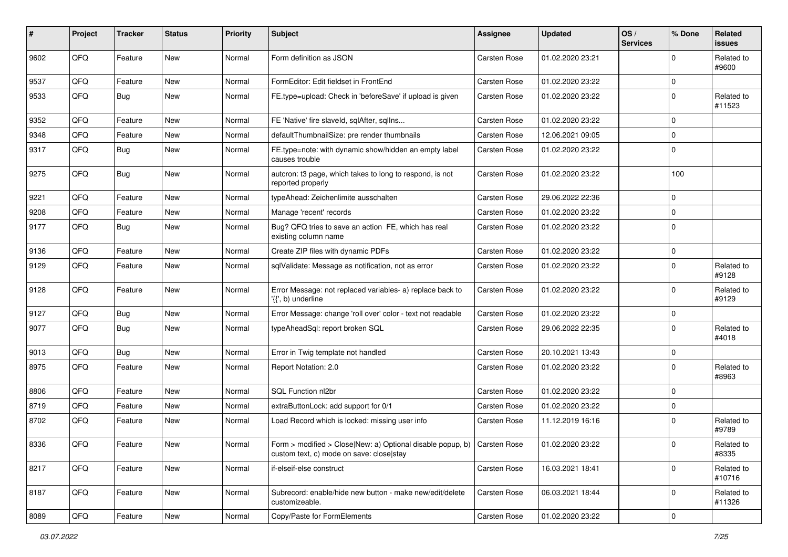| #    | Project | <b>Tracker</b> | <b>Status</b> | <b>Priority</b> | <b>Subject</b>                                                                                                      | Assignee            | <b>Updated</b>   | OS/<br><b>Services</b> | % Done      | Related<br>issues    |
|------|---------|----------------|---------------|-----------------|---------------------------------------------------------------------------------------------------------------------|---------------------|------------------|------------------------|-------------|----------------------|
| 9602 | QFQ     | Feature        | <b>New</b>    | Normal          | Form definition as JSON                                                                                             | <b>Carsten Rose</b> | 01.02.2020 23:21 |                        | $\Omega$    | Related to<br>#9600  |
| 9537 | QFQ     | Feature        | New           | Normal          | FormEditor: Edit fieldset in FrontEnd                                                                               | Carsten Rose        | 01.02.2020 23:22 |                        | $\mathbf 0$ |                      |
| 9533 | QFQ     | Bug            | <b>New</b>    | Normal          | FE.type=upload: Check in 'beforeSave' if upload is given                                                            | Carsten Rose        | 01.02.2020 23:22 |                        | $\Omega$    | Related to<br>#11523 |
| 9352 | QFQ     | Feature        | <b>New</b>    | Normal          | FE 'Native' fire slaveld, sqlAfter, sqlIns                                                                          | Carsten Rose        | 01.02.2020 23:22 |                        | $\mathbf 0$ |                      |
| 9348 | QFQ     | Feature        | New           | Normal          | defaultThumbnailSize: pre render thumbnails                                                                         | Carsten Rose        | 12.06.2021 09:05 |                        | $\mathbf 0$ |                      |
| 9317 | QFQ     | <b>Bug</b>     | New           | Normal          | FE.type=note: with dynamic show/hidden an empty label<br>causes trouble                                             | Carsten Rose        | 01.02.2020 23:22 |                        | $\Omega$    |                      |
| 9275 | QFQ     | <b>Bug</b>     | New           | Normal          | autcron: t3 page, which takes to long to respond, is not<br>reported properly                                       | Carsten Rose        | 01.02.2020 23:22 |                        | 100         |                      |
| 9221 | QFQ     | Feature        | <b>New</b>    | Normal          | typeAhead: Zeichenlimite ausschalten                                                                                | Carsten Rose        | 29.06.2022 22:36 |                        | $\mathbf 0$ |                      |
| 9208 | QFQ     | Feature        | New           | Normal          | Manage 'recent' records                                                                                             | Carsten Rose        | 01.02.2020 23:22 |                        | $\Omega$    |                      |
| 9177 | QFQ     | <b>Bug</b>     | New           | Normal          | Bug? QFQ tries to save an action FE, which has real<br>existing column name                                         | Carsten Rose        | 01.02.2020 23:22 |                        | $\Omega$    |                      |
| 9136 | QFQ     | Feature        | New           | Normal          | Create ZIP files with dynamic PDFs                                                                                  | Carsten Rose        | 01.02.2020 23:22 |                        | $\mathbf 0$ |                      |
| 9129 | QFQ     | Feature        | <b>New</b>    | Normal          | sqlValidate: Message as notification, not as error                                                                  | Carsten Rose        | 01.02.2020 23:22 |                        | $\Omega$    | Related to<br>#9128  |
| 9128 | QFQ     | Feature        | <b>New</b>    | Normal          | Error Message: not replaced variables- a) replace back to<br>'{{', b) underline                                     | Carsten Rose        | 01.02.2020 23:22 |                        | $\Omega$    | Related to<br>#9129  |
| 9127 | QFQ     | <b>Bug</b>     | New           | Normal          | Error Message: change 'roll over' color - text not readable                                                         | Carsten Rose        | 01.02.2020 23:22 |                        | $\mathbf 0$ |                      |
| 9077 | QFQ     | <b>Bug</b>     | New           | Normal          | typeAheadSql: report broken SQL                                                                                     | Carsten Rose        | 29.06.2022 22:35 |                        | $\Omega$    | Related to<br>#4018  |
| 9013 | QFQ     | <b>Bug</b>     | New           | Normal          | Error in Twig template not handled                                                                                  | Carsten Rose        | 20.10.2021 13:43 |                        | $\mathbf 0$ |                      |
| 8975 | QFQ     | Feature        | New           | Normal          | Report Notation: 2.0                                                                                                | Carsten Rose        | 01.02.2020 23:22 |                        | $\Omega$    | Related to<br>#8963  |
| 8806 | QFQ     | Feature        | New           | Normal          | SQL Function nl2br                                                                                                  | Carsten Rose        | 01.02.2020 23:22 |                        | $\Omega$    |                      |
| 8719 | QFQ     | Feature        | New           | Normal          | extraButtonLock: add support for 0/1                                                                                | <b>Carsten Rose</b> | 01.02.2020 23:22 |                        | $\mathbf 0$ |                      |
| 8702 | QFQ     | Feature        | New           | Normal          | Load Record which is locked: missing user info                                                                      | Carsten Rose        | 11.12.2019 16:16 |                        | $\Omega$    | Related to<br>#9789  |
| 8336 | QFQ     | Feature        | New           | Normal          | Form > modified > Close New: a) Optional disable popup, b) Carsten Rose<br>custom text, c) mode on save: close stay |                     | 01.02.2020 23:22 |                        | $\mathbf 0$ | Related to<br>#8335  |
| 8217 | QFQ     | Feature        | New           | Normal          | if-elseif-else construct                                                                                            | Carsten Rose        | 16.03.2021 18:41 |                        | $\mathbf 0$ | Related to<br>#10716 |
| 8187 | QFQ     | Feature        | New           | Normal          | Subrecord: enable/hide new button - make new/edit/delete<br>customizeable.                                          | Carsten Rose        | 06.03.2021 18:44 |                        | $\mathbf 0$ | Related to<br>#11326 |
| 8089 | QFQ     | Feature        | New           | Normal          | Copy/Paste for FormElements                                                                                         | Carsten Rose        | 01.02.2020 23:22 |                        | 0           |                      |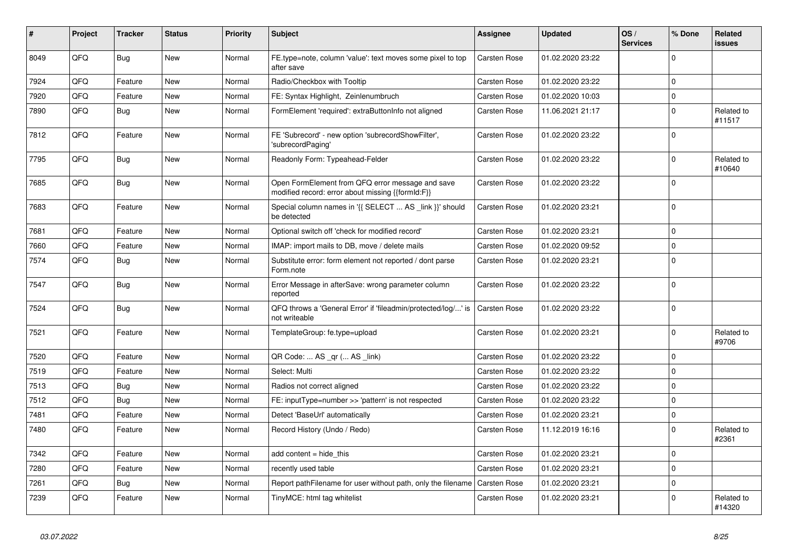| #    | Project | Tracker    | <b>Status</b> | <b>Priority</b> | <b>Subject</b>                                                                                        | Assignee            | <b>Updated</b>   | OS/<br><b>Services</b> | % Done         | Related<br>issues    |
|------|---------|------------|---------------|-----------------|-------------------------------------------------------------------------------------------------------|---------------------|------------------|------------------------|----------------|----------------------|
| 8049 | QFQ     | Bug        | <b>New</b>    | Normal          | FE.type=note, column 'value': text moves some pixel to top<br>after save                              | <b>Carsten Rose</b> | 01.02.2020 23:22 |                        | $\Omega$       |                      |
| 7924 | QFQ     | Feature    | <b>New</b>    | Normal          | Radio/Checkbox with Tooltip                                                                           | Carsten Rose        | 01.02.2020 23:22 |                        | $\Omega$       |                      |
| 7920 | QFQ     | Feature    | <b>New</b>    | Normal          | FE: Syntax Highlight, Zeinlenumbruch                                                                  | Carsten Rose        | 01.02.2020 10:03 |                        | $\Omega$       |                      |
| 7890 | QFQ     | <b>Bug</b> | <b>New</b>    | Normal          | FormElement 'required': extraButtonInfo not aligned                                                   | Carsten Rose        | 11.06.2021 21:17 |                        | $\Omega$       | Related to<br>#11517 |
| 7812 | QFQ     | Feature    | <b>New</b>    | Normal          | FE 'Subrecord' - new option 'subrecordShowFilter',<br>'subrecordPaging'                               | <b>Carsten Rose</b> | 01.02.2020 23:22 |                        | $\Omega$       |                      |
| 7795 | QFQ     | Bug        | New           | Normal          | Readonly Form: Typeahead-Felder                                                                       | Carsten Rose        | 01.02.2020 23:22 |                        | $\mathbf 0$    | Related to<br>#10640 |
| 7685 | QFQ     | <b>Bug</b> | <b>New</b>    | Normal          | Open FormElement from QFQ error message and save<br>modified record: error about missing {{formId:F}} | Carsten Rose        | 01.02.2020 23:22 |                        | $\Omega$       |                      |
| 7683 | QFQ     | Feature    | <b>New</b>    | Normal          | Special column names in '{{ SELECT  AS _link }}' should<br>be detected                                | <b>Carsten Rose</b> | 01.02.2020 23:21 |                        | $\overline{0}$ |                      |
| 7681 | QFQ     | Feature    | <b>New</b>    | Normal          | Optional switch off 'check for modified record'                                                       | <b>Carsten Rose</b> | 01.02.2020 23:21 |                        | $\Omega$       |                      |
| 7660 | QFQ     | Feature    | <b>New</b>    | Normal          | IMAP: import mails to DB, move / delete mails                                                         | Carsten Rose        | 01.02.2020 09:52 |                        | $\mathbf 0$    |                      |
| 7574 | QFQ     | Bug        | <b>New</b>    | Normal          | Substitute error: form element not reported / dont parse<br>Form.note                                 | <b>Carsten Rose</b> | 01.02.2020 23:21 |                        | $\mathbf 0$    |                      |
| 7547 | QFQ     | Bug        | <b>New</b>    | Normal          | Error Message in afterSave: wrong parameter column<br>reported                                        | Carsten Rose        | 01.02.2020 23:22 |                        | $\Omega$       |                      |
| 7524 | QFQ     | <b>Bug</b> | <b>New</b>    | Normal          | QFQ throws a 'General Error' if 'fileadmin/protected/log/' is<br>not writeable                        | <b>Carsten Rose</b> | 01.02.2020 23:22 |                        | $\Omega$       |                      |
| 7521 | QFQ     | Feature    | <b>New</b>    | Normal          | TemplateGroup: fe.type=upload                                                                         | Carsten Rose        | 01.02.2020 23:21 |                        | $\Omega$       | Related to<br>#9706  |
| 7520 | QFQ     | Feature    | <b>New</b>    | Normal          | QR Code:  AS _qr ( AS _link)                                                                          | Carsten Rose        | 01.02.2020 23:22 |                        | $\Omega$       |                      |
| 7519 | QFQ     | Feature    | <b>New</b>    | Normal          | Select: Multi                                                                                         | <b>Carsten Rose</b> | 01.02.2020 23:22 |                        | $\Omega$       |                      |
| 7513 | QFQ     | Bug        | <b>New</b>    | Normal          | Radios not correct aligned                                                                            | Carsten Rose        | 01.02.2020 23:22 |                        | $\Omega$       |                      |
| 7512 | QFQ     | Bug        | <b>New</b>    | Normal          | FE: inputType=number >> 'pattern' is not respected                                                    | <b>Carsten Rose</b> | 01.02.2020 23:22 |                        | $\Omega$       |                      |
| 7481 | QFQ     | Feature    | <b>New</b>    | Normal          | Detect 'BaseUrl' automatically                                                                        | <b>Carsten Rose</b> | 01.02.2020 23:21 |                        | $\mathbf 0$    |                      |
| 7480 | QFQ     | Feature    | New           | Normal          | Record History (Undo / Redo)                                                                          | Carsten Rose        | 11.12.2019 16:16 |                        | $\Omega$       | Related to<br>#2361  |
| 7342 | QFQ     | Feature    | <b>New</b>    | Normal          | add content = hide this                                                                               | <b>Carsten Rose</b> | 01.02.2020 23:21 |                        | $\Omega$       |                      |
| 7280 | QFQ     | Feature    | <b>New</b>    | Normal          | recently used table                                                                                   | Carsten Rose        | 01.02.2020 23:21 |                        | $\Omega$       |                      |
| 7261 | QFQ     | <b>Bug</b> | <b>New</b>    | Normal          | Report pathFilename for user without path, only the filename                                          | Carsten Rose        | 01.02.2020 23:21 |                        | $\mathbf 0$    |                      |
| 7239 | QFQ     | Feature    | New           | Normal          | TinyMCE: html tag whitelist                                                                           | Carsten Rose        | 01.02.2020 23:21 |                        | $\Omega$       | Related to<br>#14320 |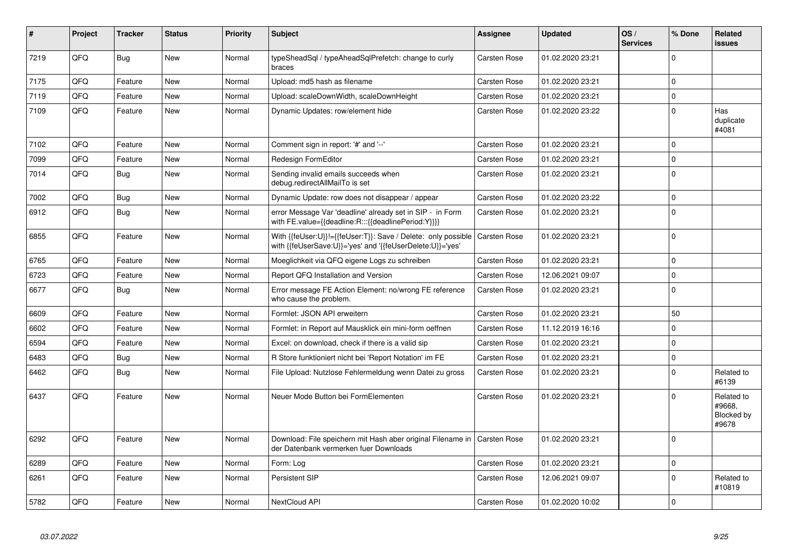| #    | Project | <b>Tracker</b> | <b>Status</b> | <b>Priority</b> | <b>Subject</b>                                                                                                             | <b>Assignee</b>     | <b>Updated</b>   | OS/<br><b>Services</b> | % Done      | Related<br><b>issues</b>                    |
|------|---------|----------------|---------------|-----------------|----------------------------------------------------------------------------------------------------------------------------|---------------------|------------------|------------------------|-------------|---------------------------------------------|
| 7219 | QFQ     | Bug            | <b>New</b>    | Normal          | typeSheadSql / typeAheadSqlPrefetch: change to curly<br>braces                                                             | <b>Carsten Rose</b> | 01.02.2020 23:21 |                        | $\Omega$    |                                             |
| 7175 | QFQ     | Feature        | <b>New</b>    | Normal          | Upload: md5 hash as filename                                                                                               | <b>Carsten Rose</b> | 01.02.2020 23:21 |                        | $\mathbf 0$ |                                             |
| 7119 | QFQ     | Feature        | <b>New</b>    | Normal          | Upload: scaleDownWidth, scaleDownHeight                                                                                    | Carsten Rose        | 01.02.2020 23:21 |                        | $\mathbf 0$ |                                             |
| 7109 | QFQ     | Feature        | <b>New</b>    | Normal          | Dynamic Updates: row/element hide                                                                                          | Carsten Rose        | 01.02.2020 23:22 |                        | $\Omega$    | Has<br>duplicate<br>#4081                   |
| 7102 | QFQ     | Feature        | New           | Normal          | Comment sign in report: '#' and '--'                                                                                       | Carsten Rose        | 01.02.2020 23:21 |                        | $\Omega$    |                                             |
| 7099 | QFQ     | Feature        | <b>New</b>    | Normal          | Redesign FormEditor                                                                                                        | <b>Carsten Rose</b> | 01.02.2020 23:21 |                        | $\Omega$    |                                             |
| 7014 | QFQ     | <b>Bug</b>     | <b>New</b>    | Normal          | Sending invalid emails succeeds when<br>debug.redirectAllMailTo is set                                                     | Carsten Rose        | 01.02.2020 23:21 |                        | $\Omega$    |                                             |
| 7002 | QFQ     | Bug            | <b>New</b>    | Normal          | Dynamic Update: row does not disappear / appear                                                                            | <b>Carsten Rose</b> | 01.02.2020 23:22 |                        | $\mathbf 0$ |                                             |
| 6912 | QFQ     | Bug            | <b>New</b>    | Normal          | error Message Var 'deadline' already set in SIP - in Form<br>with FE.value={{deadline:R:::{{deadlinePeriod:Y}}}}           | Carsten Rose        | 01.02.2020 23:21 |                        | $\mathbf 0$ |                                             |
| 6855 | QFQ     | Feature        | <b>New</b>    | Normal          | With {{feUser:U}}!={{feUser:T}}: Save / Delete: only possible<br>with {{feUserSave:U}}='yes' and '{{feUserDelete:U}}='yes' | Carsten Rose        | 01.02.2020 23:21 |                        | $\Omega$    |                                             |
| 6765 | QFQ     | Feature        | <b>New</b>    | Normal          | Moeglichkeit via QFQ eigene Logs zu schreiben                                                                              | Carsten Rose        | 01.02.2020 23:21 |                        | $\mathbf 0$ |                                             |
| 6723 | QFQ     | Feature        | <b>New</b>    | Normal          | Report QFQ Installation and Version                                                                                        | <b>Carsten Rose</b> | 12.06.2021 09:07 |                        | $\mathbf 0$ |                                             |
| 6677 | QFQ     | Bug            | <b>New</b>    | Normal          | Error message FE Action Element: no/wrong FE reference<br>who cause the problem.                                           | Carsten Rose        | 01.02.2020 23:21 |                        | $\Omega$    |                                             |
| 6609 | QFQ     | Feature        | <b>New</b>    | Normal          | Formlet: JSON API erweitern                                                                                                | <b>Carsten Rose</b> | 01.02.2020 23:21 |                        | 50          |                                             |
| 6602 | QFQ     | Feature        | <b>New</b>    | Normal          | Formlet: in Report auf Mausklick ein mini-form oeffnen                                                                     | Carsten Rose        | 11.12.2019 16:16 |                        | $\Omega$    |                                             |
| 6594 | QFQ     | Feature        | <b>New</b>    | Normal          | Excel: on download, check if there is a valid sip                                                                          | Carsten Rose        | 01.02.2020 23:21 |                        | $\mathbf 0$ |                                             |
| 6483 | QFQ     | Bug            | <b>New</b>    | Normal          | R Store funktioniert nicht bei 'Report Notation' im FE                                                                     | <b>Carsten Rose</b> | 01.02.2020 23:21 |                        | $\mathbf 0$ |                                             |
| 6462 | QFQ     | <b>Bug</b>     | <b>New</b>    | Normal          | File Upload: Nutzlose Fehlermeldung wenn Datei zu gross                                                                    | Carsten Rose        | 01.02.2020 23:21 |                        | $\Omega$    | Related to<br>#6139                         |
| 6437 | QFQ     | Feature        | <b>New</b>    | Normal          | Neuer Mode Button bei FormElementen                                                                                        | <b>Carsten Rose</b> | 01.02.2020 23:21 |                        | $\Omega$    | Related to<br>#9668,<br>Blocked by<br>#9678 |
| 6292 | QFQ     | Feature        | <b>New</b>    | Normal          | Download: File speichern mit Hash aber original Filename in<br>der Datenbank vermerken fuer Downloads                      | <b>Carsten Rose</b> | 01.02.2020 23:21 |                        | $\Omega$    |                                             |
| 6289 | QFQ     | Feature        | <b>New</b>    | Normal          | Form: Log                                                                                                                  | <b>Carsten Rose</b> | 01.02.2020 23:21 |                        | 0           |                                             |
| 6261 | QFQ     | Feature        | <b>New</b>    | Normal          | Persistent SIP                                                                                                             | Carsten Rose        | 12.06.2021 09:07 |                        | $\Omega$    | Related to<br>#10819                        |
| 5782 | QFQ     | Feature        | <b>New</b>    | Normal          | NextCloud API                                                                                                              | Carsten Rose        | 01.02.2020 10:02 |                        | $\Omega$    |                                             |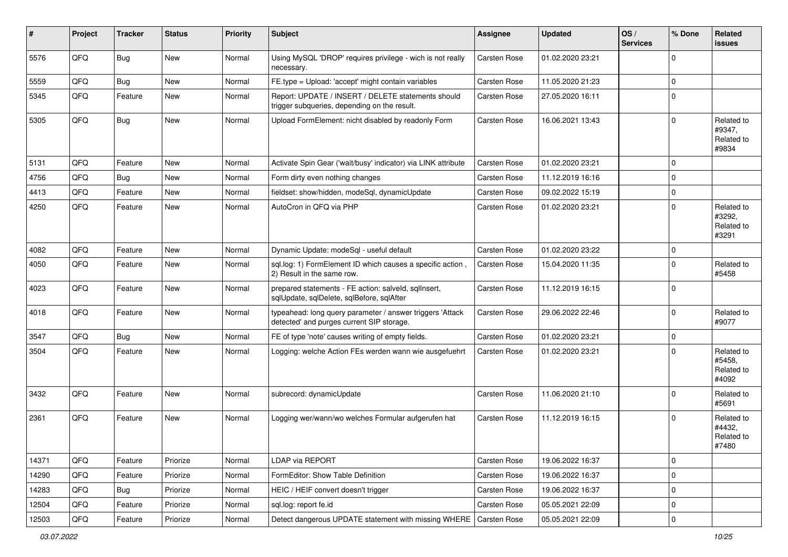| #     | Project | <b>Tracker</b> | <b>Status</b> | Priority | Subject                                                                                                | Assignee            | <b>Updated</b>   | OS/<br><b>Services</b> | % Done         | Related<br><b>issues</b>                    |
|-------|---------|----------------|---------------|----------|--------------------------------------------------------------------------------------------------------|---------------------|------------------|------------------------|----------------|---------------------------------------------|
| 5576  | QFQ     | <b>Bug</b>     | New           | Normal   | Using MySQL 'DROP' requires privilege - wich is not really<br>necessary.                               | Carsten Rose        | 01.02.2020 23:21 |                        | $\mathbf 0$    |                                             |
| 5559  | QFQ     | Bug            | New           | Normal   | FE.type = Upload: 'accept' might contain variables                                                     | Carsten Rose        | 11.05.2020 21:23 |                        | 0              |                                             |
| 5345  | QFQ     | Feature        | New           | Normal   | Report: UPDATE / INSERT / DELETE statements should<br>trigger subqueries, depending on the result.     | <b>Carsten Rose</b> | 27.05.2020 16:11 |                        | 0              |                                             |
| 5305  | QFQ     | Bug            | New           | Normal   | Upload FormElement: nicht disabled by readonly Form                                                    | Carsten Rose        | 16.06.2021 13:43 |                        | 0              | Related to<br>#9347,<br>Related to<br>#9834 |
| 5131  | QFQ     | Feature        | New           | Normal   | Activate Spin Gear ('wait/busy' indicator) via LINK attribute                                          | Carsten Rose        | 01.02.2020 23:21 |                        | 0              |                                             |
| 4756  | QFQ     | Bug            | New           | Normal   | Form dirty even nothing changes                                                                        | Carsten Rose        | 11.12.2019 16:16 |                        | $\mathbf 0$    |                                             |
| 4413  | QFQ     | Feature        | New           | Normal   | fieldset: show/hidden, modeSql, dynamicUpdate                                                          | Carsten Rose        | 09.02.2022 15:19 |                        | 0              |                                             |
| 4250  | QFQ     | Feature        | New           | Normal   | AutoCron in QFQ via PHP                                                                                | Carsten Rose        | 01.02.2020 23:21 |                        | $\mathbf 0$    | Related to<br>#3292,<br>Related to<br>#3291 |
| 4082  | QFQ     | Feature        | New           | Normal   | Dynamic Update: modeSql - useful default                                                               | Carsten Rose        | 01.02.2020 23:22 |                        | 0              |                                             |
| 4050  | QFQ     | Feature        | <b>New</b>    | Normal   | sql.log: 1) FormElement ID which causes a specific action,<br>2) Result in the same row.               | Carsten Rose        | 15.04.2020 11:35 |                        | $\mathbf 0$    | Related to<br>#5458                         |
| 4023  | QFQ     | Feature        | New           | Normal   | prepared statements - FE action: salveld, sqlInsert,<br>sqlUpdate, sqlDelete, sqlBefore, sqlAfter      | Carsten Rose        | 11.12.2019 16:15 |                        | 0              |                                             |
| 4018  | QFQ     | Feature        | New           | Normal   | typeahead: long query parameter / answer triggers 'Attack<br>detected' and purges current SIP storage. | Carsten Rose        | 29.06.2022 22:46 |                        | $\overline{0}$ | Related to<br>#9077                         |
| 3547  | QFQ     | Bug            | New           | Normal   | FE of type 'note' causes writing of empty fields.                                                      | Carsten Rose        | 01.02.2020 23:21 |                        | 0              |                                             |
| 3504  | QFQ     | Feature        | New           | Normal   | Logging: welche Action FEs werden wann wie ausgefuehrt                                                 | Carsten Rose        | 01.02.2020 23:21 |                        | $\overline{0}$ | Related to<br>#5458,<br>Related to<br>#4092 |
| 3432  | QFQ     | Feature        | <b>New</b>    | Normal   | subrecord: dynamicUpdate                                                                               | Carsten Rose        | 11.06.2020 21:10 |                        | $\mathbf 0$    | Related to<br>#5691                         |
| 2361  | QFQ     | Feature        | New           | Normal   | Logging wer/wann/wo welches Formular aufgerufen hat                                                    | <b>Carsten Rose</b> | 11.12.2019 16:15 |                        | 0              | Related to<br>#4432,<br>Related to<br>#7480 |
| 14371 | QFQ     | Feature        | Priorize      | Normal   | <b>LDAP via REPORT</b>                                                                                 | Carsten Rose        | 19.06.2022 16:37 |                        | $\overline{0}$ |                                             |
| 14290 | QFQ     | Feature        | Priorize      | Normal   | FormEditor: Show Table Definition                                                                      | Carsten Rose        | 19.06.2022 16:37 |                        | 0              |                                             |
| 14283 | QFQ     | Bug            | Priorize      | Normal   | HEIC / HEIF convert doesn't trigger                                                                    | Carsten Rose        | 19.06.2022 16:37 |                        | 0              |                                             |
| 12504 | QFQ     | Feature        | Priorize      | Normal   | sql.log: report fe.id                                                                                  | Carsten Rose        | 05.05.2021 22:09 |                        | 0              |                                             |
| 12503 | QFQ     | Feature        | Priorize      | Normal   | Detect dangerous UPDATE statement with missing WHERE   Carsten Rose                                    |                     | 05.05.2021 22:09 |                        | 0              |                                             |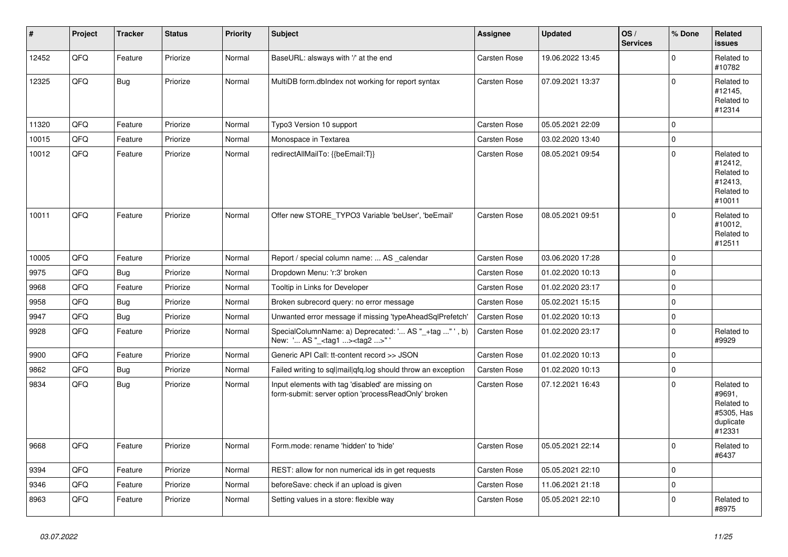| $\vert$ # | Project | <b>Tracker</b> | <b>Status</b> | <b>Priority</b> | <b>Subject</b>                                                                                           | <b>Assignee</b>     | <b>Updated</b>   | OS/<br><b>Services</b> | % Done      | Related<br><b>issues</b>                                                |
|-----------|---------|----------------|---------------|-----------------|----------------------------------------------------------------------------------------------------------|---------------------|------------------|------------------------|-------------|-------------------------------------------------------------------------|
| 12452     | QFQ     | Feature        | Priorize      | Normal          | BaseURL: alsways with '/' at the end                                                                     | <b>Carsten Rose</b> | 19.06.2022 13:45 |                        | $\Omega$    | Related to<br>#10782                                                    |
| 12325     | QFQ     | <b>Bug</b>     | Priorize      | Normal          | MultiDB form.dblndex not working for report syntax                                                       | Carsten Rose        | 07.09.2021 13:37 |                        | $\Omega$    | Related to<br>#12145,<br>Related to<br>#12314                           |
| 11320     | QFQ     | Feature        | Priorize      | Normal          | Typo3 Version 10 support                                                                                 | <b>Carsten Rose</b> | 05.05.2021 22:09 |                        | $\Omega$    |                                                                         |
| 10015     | QFQ     | Feature        | Priorize      | Normal          | Monospace in Textarea                                                                                    | <b>Carsten Rose</b> | 03.02.2020 13:40 |                        | $\mathbf 0$ |                                                                         |
| 10012     | QFQ     | Feature        | Priorize      | Normal          | redirectAllMailTo: {{beEmail:T}}                                                                         | <b>Carsten Rose</b> | 08.05.2021 09:54 |                        | $\Omega$    | Related to<br>#12412,<br>Related to<br>#12413,<br>Related to<br>#10011  |
| 10011     | QFQ     | Feature        | Priorize      | Normal          | Offer new STORE TYPO3 Variable 'beUser', 'beEmail'                                                       | <b>Carsten Rose</b> | 08.05.2021 09:51 |                        | $\Omega$    | Related to<br>#10012,<br>Related to<br>#12511                           |
| 10005     | QFQ     | Feature        | Priorize      | Normal          | Report / special column name:  AS _calendar                                                              | <b>Carsten Rose</b> | 03.06.2020 17:28 |                        | $\Omega$    |                                                                         |
| 9975      | QFQ     | <b>Bug</b>     | Priorize      | Normal          | Dropdown Menu: 'r:3' broken                                                                              | <b>Carsten Rose</b> | 01.02.2020 10:13 |                        | $\mathbf 0$ |                                                                         |
| 9968      | QFQ     | Feature        | Priorize      | Normal          | Tooltip in Links for Developer                                                                           | <b>Carsten Rose</b> | 01.02.2020 23:17 |                        | $\mathbf 0$ |                                                                         |
| 9958      | QFQ     | <b>Bug</b>     | Priorize      | Normal          | Broken subrecord query: no error message                                                                 | <b>Carsten Rose</b> | 05.02.2021 15:15 |                        | $\mathbf 0$ |                                                                         |
| 9947      | QFQ     | <b>Bug</b>     | Priorize      | Normal          | Unwanted error message if missing 'typeAheadSqlPrefetch'                                                 | Carsten Rose        | 01.02.2020 10:13 |                        | $\mathbf 0$ |                                                                         |
| 9928      | QFQ     | Feature        | Priorize      | Normal          | SpecialColumnName: a) Deprecated: ' AS "_+tag " ', b)<br>New: ' AS "_ <tag1><tag2>"</tag2></tag1>        | Carsten Rose        | 01.02.2020 23:17 |                        | $\mathbf 0$ | Related to<br>#9929                                                     |
| 9900      | QFQ     | Feature        | Priorize      | Normal          | Generic API Call: tt-content record >> JSON                                                              | <b>Carsten Rose</b> | 01.02.2020 10:13 |                        | $\mathbf 0$ |                                                                         |
| 9862      | QFQ     | Bug            | Priorize      | Normal          | Failed writing to sql mail q fq. log should throw an exception                                           | <b>Carsten Rose</b> | 01.02.2020 10:13 |                        | $\mathbf 0$ |                                                                         |
| 9834      | QFQ     | Bug            | Priorize      | Normal          | Input elements with tag 'disabled' are missing on<br>form-submit: server option 'processReadOnly' broken | <b>Carsten Rose</b> | 07.12.2021 16:43 |                        | $\mathbf 0$ | Related to<br>#9691,<br>Related to<br>#5305, Has<br>duplicate<br>#12331 |
| 9668      | QFQ     | Feature        | Priorize      | Normal          | Form.mode: rename 'hidden' to 'hide'                                                                     | Carsten Rose        | 05.05.2021 22:14 |                        | $\mathbf 0$ | Related to<br>#6437                                                     |
| 9394      | QFQ     | Feature        | Priorize      | Normal          | REST: allow for non numerical ids in get requests                                                        | <b>Carsten Rose</b> | 05.05.2021 22:10 |                        | $\mathbf 0$ |                                                                         |
| 9346      | QFQ     | Feature        | Priorize      | Normal          | beforeSave: check if an upload is given                                                                  | <b>Carsten Rose</b> | 11.06.2021 21:18 |                        | $\mathbf 0$ |                                                                         |
| 8963      | QFQ     | Feature        | Priorize      | Normal          | Setting values in a store: flexible way                                                                  | <b>Carsten Rose</b> | 05.05.2021 22:10 |                        | $\mathbf 0$ | Related to<br>#8975                                                     |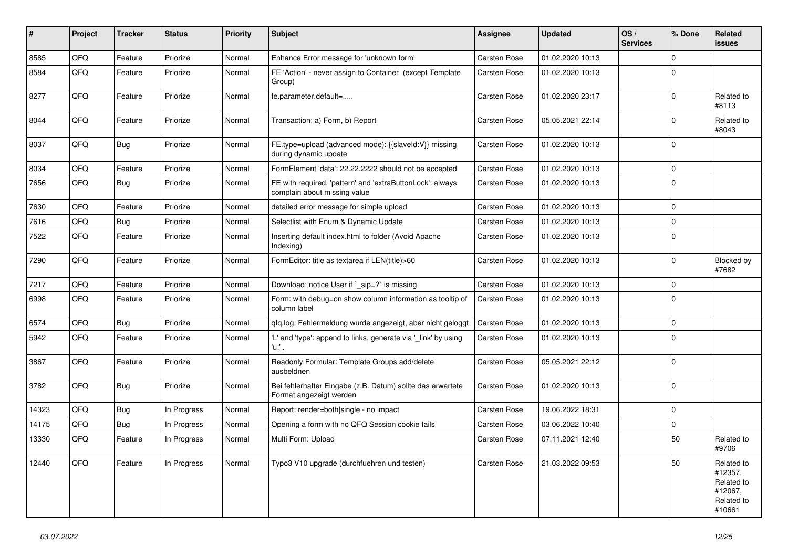| $\vert$ # | Project | <b>Tracker</b> | <b>Status</b> | <b>Priority</b> | <b>Subject</b>                                                                            | Assignee            | <b>Updated</b>   | OS/<br><b>Services</b> | % Done       | Related<br><b>issues</b>                                               |
|-----------|---------|----------------|---------------|-----------------|-------------------------------------------------------------------------------------------|---------------------|------------------|------------------------|--------------|------------------------------------------------------------------------|
| 8585      | QFQ     | Feature        | Priorize      | Normal          | Enhance Error message for 'unknown form'                                                  | Carsten Rose        | 01.02.2020 10:13 |                        | $\Omega$     |                                                                        |
| 8584      | QFQ     | Feature        | Priorize      | Normal          | FE 'Action' - never assign to Container (except Template<br>Group)                        | Carsten Rose        | 01.02.2020 10:13 |                        | $\Omega$     |                                                                        |
| 8277      | QFQ     | Feature        | Priorize      | Normal          | fe.parameter.default=                                                                     | Carsten Rose        | 01.02.2020 23:17 |                        | $\Omega$     | Related to<br>#8113                                                    |
| 8044      | QFQ     | Feature        | Priorize      | Normal          | Transaction: a) Form, b) Report                                                           | Carsten Rose        | 05.05.2021 22:14 |                        | $\Omega$     | Related to<br>#8043                                                    |
| 8037      | QFQ     | Bug            | Priorize      | Normal          | FE.type=upload (advanced mode): {{slaveId:V}} missing<br>during dynamic update            | Carsten Rose        | 01.02.2020 10:13 |                        | $\mathbf{0}$ |                                                                        |
| 8034      | QFQ     | Feature        | Priorize      | Normal          | FormElement 'data': 22.22.2222 should not be accepted                                     | <b>Carsten Rose</b> | 01.02.2020 10:13 |                        | $\mathbf 0$  |                                                                        |
| 7656      | QFQ     | Bug            | Priorize      | Normal          | FE with required, 'pattern' and 'extraButtonLock': always<br>complain about missing value | Carsten Rose        | 01.02.2020 10:13 |                        | $\Omega$     |                                                                        |
| 7630      | QFQ     | Feature        | Priorize      | Normal          | detailed error message for simple upload                                                  | <b>Carsten Rose</b> | 01.02.2020 10:13 |                        | $\mathbf 0$  |                                                                        |
| 7616      | QFQ     | <b>Bug</b>     | Priorize      | Normal          | Selectlist with Enum & Dynamic Update                                                     | <b>Carsten Rose</b> | 01.02.2020 10:13 |                        | l 0          |                                                                        |
| 7522      | QFQ     | Feature        | Priorize      | Normal          | Inserting default index.html to folder (Avoid Apache<br>Indexing)                         | Carsten Rose        | 01.02.2020 10:13 |                        | $\Omega$     |                                                                        |
| 7290      | QFQ     | Feature        | Priorize      | Normal          | FormEditor: title as textarea if LEN(title)>60                                            | Carsten Rose        | 01.02.2020 10:13 |                        | $\mathbf{0}$ | Blocked by<br>#7682                                                    |
| 7217      | QFQ     | Feature        | Priorize      | Normal          | Download: notice User if `_sip=?` is missing                                              | Carsten Rose        | 01.02.2020 10:13 |                        | $\Omega$     |                                                                        |
| 6998      | QFQ     | Feature        | Priorize      | Normal          | Form: with debug=on show column information as tooltip of<br>column label                 | Carsten Rose        | 01.02.2020 10:13 |                        | $\Omega$     |                                                                        |
| 6574      | QFQ     | <b>Bug</b>     | Priorize      | Normal          | gfg.log: Fehlermeldung wurde angezeigt, aber nicht geloggt                                | Carsten Rose        | 01.02.2020 10:13 |                        | $\mathbf 0$  |                                                                        |
| 5942      | QFQ     | Feature        | Priorize      | Normal          | 'L' and 'type': append to links, generate via '_link' by using<br>u. .                    | Carsten Rose        | 01.02.2020 10:13 |                        | $\Omega$     |                                                                        |
| 3867      | QFQ     | Feature        | Priorize      | Normal          | Readonly Formular: Template Groups add/delete<br>ausbeldnen                               | Carsten Rose        | 05.05.2021 22:12 |                        | $\Omega$     |                                                                        |
| 3782      | QFQ     | Bug            | Priorize      | Normal          | Bei fehlerhafter Eingabe (z.B. Datum) sollte das erwartete<br>Format angezeigt werden     | Carsten Rose        | 01.02.2020 10:13 |                        | $\Omega$     |                                                                        |
| 14323     | QFQ     | <b>Bug</b>     | In Progress   | Normal          | Report: render=both single - no impact                                                    | Carsten Rose        | 19.06.2022 18:31 |                        | $\Omega$     |                                                                        |
| 14175     | QFQ     | <b>Bug</b>     | In Progress   | Normal          | Opening a form with no QFQ Session cookie fails                                           | Carsten Rose        | 03.06.2022 10:40 |                        | $\Omega$     |                                                                        |
| 13330     | QFQ     | Feature        | In Progress   | Normal          | Multi Form: Upload                                                                        | Carsten Rose        | 07.11.2021 12:40 |                        | 50           | Related to<br>#9706                                                    |
| 12440     | QFQ     | Feature        | In Progress   | Normal          | Typo3 V10 upgrade (durchfuehren und testen)                                               | Carsten Rose        | 21.03.2022 09:53 |                        | 50           | Related to<br>#12357,<br>Related to<br>#12067,<br>Related to<br>#10661 |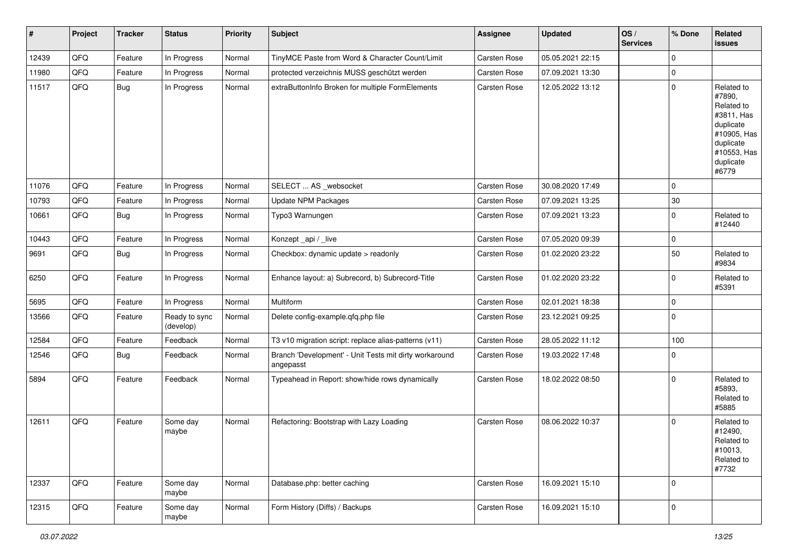| #     | Project | <b>Tracker</b> | <b>Status</b>              | <b>Priority</b> | <b>Subject</b>                                                      | <b>Assignee</b> | <b>Updated</b>   | OS/<br><b>Services</b> | % Done      | Related<br><b>issues</b>                                                                                                       |
|-------|---------|----------------|----------------------------|-----------------|---------------------------------------------------------------------|-----------------|------------------|------------------------|-------------|--------------------------------------------------------------------------------------------------------------------------------|
| 12439 | QFQ     | Feature        | In Progress                | Normal          | TinyMCE Paste from Word & Character Count/Limit                     | Carsten Rose    | 05.05.2021 22:15 |                        | $\mathbf 0$ |                                                                                                                                |
| 11980 | QFQ     | Feature        | In Progress                | Normal          | protected verzeichnis MUSS geschützt werden                         | Carsten Rose    | 07.09.2021 13:30 |                        | $\mathbf 0$ |                                                                                                                                |
| 11517 | QFQ     | Bug            | In Progress                | Normal          | extraButtonInfo Broken for multiple FormElements                    | Carsten Rose    | 12.05.2022 13:12 |                        | $\mathbf 0$ | Related to<br>#7890,<br>Related to<br>#3811, Has<br>duplicate<br>#10905, Has<br>duplicate<br>#10553, Has<br>duplicate<br>#6779 |
| 11076 | QFQ     | Feature        | In Progress                | Normal          | SELECT  AS _websocket                                               | Carsten Rose    | 30.08.2020 17:49 |                        | $\mathbf 0$ |                                                                                                                                |
| 10793 | QFQ     | Feature        | In Progress                | Normal          | <b>Update NPM Packages</b>                                          | Carsten Rose    | 07.09.2021 13:25 |                        | $30\,$      |                                                                                                                                |
| 10661 | QFQ     | <b>Bug</b>     | In Progress                | Normal          | Typo3 Warnungen                                                     | Carsten Rose    | 07.09.2021 13:23 |                        | $\mathbf 0$ | Related to<br>#12440                                                                                                           |
| 10443 | QFQ     | Feature        | In Progress                | Normal          | Konzept_api / _live                                                 | Carsten Rose    | 07.05.2020 09:39 |                        | $\pmb{0}$   |                                                                                                                                |
| 9691  | QFQ     | Bug            | In Progress                | Normal          | Checkbox: dynamic update > readonly                                 | Carsten Rose    | 01.02.2020 23:22 |                        | 50          | Related to<br>#9834                                                                                                            |
| 6250  | QFQ     | Feature        | In Progress                | Normal          | Enhance layout: a) Subrecord, b) Subrecord-Title                    | Carsten Rose    | 01.02.2020 23:22 |                        | $\mathbf 0$ | Related to<br>#5391                                                                                                            |
| 5695  | QFQ     | Feature        | In Progress                | Normal          | Multiform                                                           | Carsten Rose    | 02.01.2021 18:38 |                        | $\mathbf 0$ |                                                                                                                                |
| 13566 | QFQ     | Feature        | Ready to sync<br>(develop) | Normal          | Delete config-example.qfq.php file                                  | Carsten Rose    | 23.12.2021 09:25 |                        | $\pmb{0}$   |                                                                                                                                |
| 12584 | QFQ     | Feature        | Feedback                   | Normal          | T3 v10 migration script: replace alias-patterns (v11)               | Carsten Rose    | 28.05.2022 11:12 |                        | 100         |                                                                                                                                |
| 12546 | QFQ     | <b>Bug</b>     | Feedback                   | Normal          | Branch 'Development' - Unit Tests mit dirty workaround<br>angepasst | Carsten Rose    | 19.03.2022 17:48 |                        | $\mathbf 0$ |                                                                                                                                |
| 5894  | QFQ     | Feature        | Feedback                   | Normal          | Typeahead in Report: show/hide rows dynamically                     | Carsten Rose    | 18.02.2022 08:50 |                        | $\mathbf 0$ | Related to<br>#5893,<br>Related to<br>#5885                                                                                    |
| 12611 | QFQ     | Feature        | Some day<br>maybe          | Normal          | Refactoring: Bootstrap with Lazy Loading                            | Carsten Rose    | 08.06.2022 10:37 |                        | $\mathbf 0$ | Related to<br>#12490,<br>Related to<br>#10013,<br>Related to<br>#7732                                                          |
| 12337 | QFQ     | Feature        | Some day<br>maybe          | Normal          | Database.php: better caching                                        | Carsten Rose    | 16.09.2021 15:10 |                        | $\mathbf 0$ |                                                                                                                                |
| 12315 | QFQ     | Feature        | Some day<br>maybe          | Normal          | Form History (Diffs) / Backups                                      | Carsten Rose    | 16.09.2021 15:10 |                        | $\pmb{0}$   |                                                                                                                                |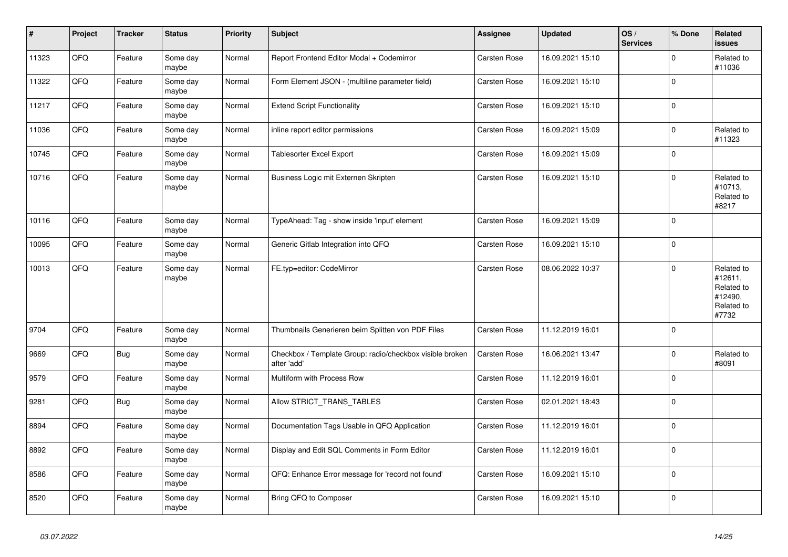| $\vert$ # | Project | <b>Tracker</b> | <b>Status</b>     | <b>Priority</b> | <b>Subject</b>                                                          | <b>Assignee</b>     | <b>Updated</b>   | OS/<br><b>Services</b> | % Done      | Related<br>issues                                                     |
|-----------|---------|----------------|-------------------|-----------------|-------------------------------------------------------------------------|---------------------|------------------|------------------------|-------------|-----------------------------------------------------------------------|
| 11323     | QFQ     | Feature        | Some day<br>maybe | Normal          | Report Frontend Editor Modal + Codemirror                               | Carsten Rose        | 16.09.2021 15:10 |                        | $\Omega$    | Related to<br>#11036                                                  |
| 11322     | QFQ     | Feature        | Some day<br>maybe | Normal          | Form Element JSON - (multiline parameter field)                         | <b>Carsten Rose</b> | 16.09.2021 15:10 |                        | $\mathbf 0$ |                                                                       |
| 11217     | QFQ     | Feature        | Some day<br>maybe | Normal          | <b>Extend Script Functionality</b>                                      | Carsten Rose        | 16.09.2021 15:10 |                        | $\Omega$    |                                                                       |
| 11036     | QFQ     | Feature        | Some day<br>maybe | Normal          | inline report editor permissions                                        | <b>Carsten Rose</b> | 16.09.2021 15:09 |                        | $\Omega$    | Related to<br>#11323                                                  |
| 10745     | QFQ     | Feature        | Some day<br>maybe | Normal          | Tablesorter Excel Export                                                | <b>Carsten Rose</b> | 16.09.2021 15:09 |                        | $\mathbf 0$ |                                                                       |
| 10716     | QFQ     | Feature        | Some day<br>maybe | Normal          | Business Logic mit Externen Skripten                                    | Carsten Rose        | 16.09.2021 15:10 |                        | $\mathbf 0$ | Related to<br>#10713,<br>Related to<br>#8217                          |
| 10116     | QFQ     | Feature        | Some day<br>maybe | Normal          | TypeAhead: Tag - show inside 'input' element                            | <b>Carsten Rose</b> | 16.09.2021 15:09 |                        | $\mathbf 0$ |                                                                       |
| 10095     | QFQ     | Feature        | Some day<br>maybe | Normal          | Generic Gitlab Integration into QFQ                                     | <b>Carsten Rose</b> | 16.09.2021 15:10 |                        | $\mathbf 0$ |                                                                       |
| 10013     | QFQ     | Feature        | Some day<br>maybe | Normal          | FE.typ=editor: CodeMirror                                               | <b>Carsten Rose</b> | 08.06.2022 10:37 |                        | $\mathbf 0$ | Related to<br>#12611,<br>Related to<br>#12490.<br>Related to<br>#7732 |
| 9704      | QFQ     | Feature        | Some day<br>maybe | Normal          | Thumbnails Generieren beim Splitten von PDF Files                       | <b>Carsten Rose</b> | 11.12.2019 16:01 |                        | $\mathbf 0$ |                                                                       |
| 9669      | QFQ     | <b>Bug</b>     | Some day<br>maybe | Normal          | Checkbox / Template Group: radio/checkbox visible broken<br>after 'add' | <b>Carsten Rose</b> | 16.06.2021 13:47 |                        | $\mathbf 0$ | Related to<br>#8091                                                   |
| 9579      | QFQ     | Feature        | Some day<br>maybe | Normal          | Multiform with Process Row                                              | Carsten Rose        | 11.12.2019 16:01 |                        | $\Omega$    |                                                                       |
| 9281      | QFQ     | Bug            | Some day<br>maybe | Normal          | Allow STRICT_TRANS_TABLES                                               | Carsten Rose        | 02.01.2021 18:43 |                        | $\mathbf 0$ |                                                                       |
| 8894      | QFQ     | Feature        | Some day<br>maybe | Normal          | Documentation Tags Usable in QFQ Application                            | <b>Carsten Rose</b> | 11.12.2019 16:01 |                        | $\mathbf 0$ |                                                                       |
| 8892      | QFQ     | Feature        | Some day<br>maybe | Normal          | Display and Edit SQL Comments in Form Editor                            | <b>Carsten Rose</b> | 11.12.2019 16:01 |                        | $\Omega$    |                                                                       |
| 8586      | QFQ     | Feature        | Some day<br>maybe | Normal          | QFQ: Enhance Error message for 'record not found'                       | Carsten Rose        | 16.09.2021 15:10 |                        | $\mathbf 0$ |                                                                       |
| 8520      | QFQ     | Feature        | Some day<br>maybe | Normal          | Bring QFQ to Composer                                                   | Carsten Rose        | 16.09.2021 15:10 |                        | $\pmb{0}$   |                                                                       |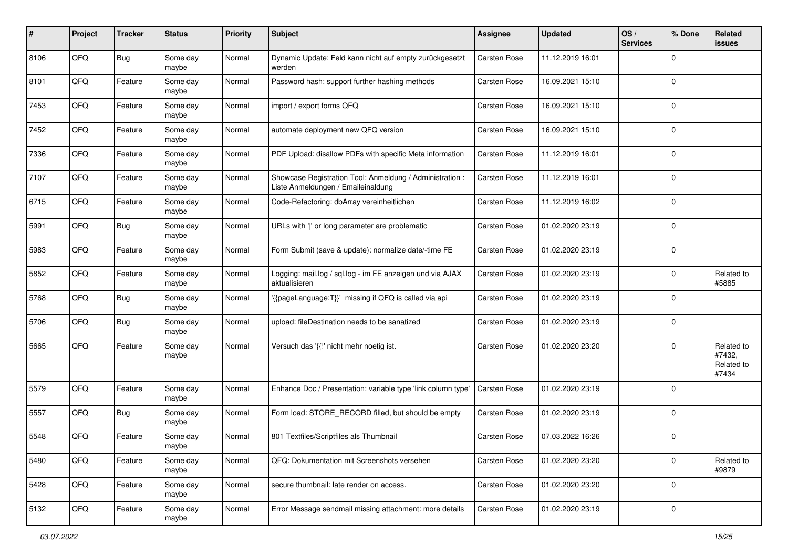| #    | Project | <b>Tracker</b> | <b>Status</b>     | <b>Priority</b> | Subject                                                                                        | Assignee     | <b>Updated</b>   | OS/<br><b>Services</b> | % Done      | Related<br>issues                           |
|------|---------|----------------|-------------------|-----------------|------------------------------------------------------------------------------------------------|--------------|------------------|------------------------|-------------|---------------------------------------------|
| 8106 | QFQ     | Bug            | Some day<br>maybe | Normal          | Dynamic Update: Feld kann nicht auf empty zurückgesetzt<br>werden                              | Carsten Rose | 11.12.2019 16:01 |                        | $\Omega$    |                                             |
| 8101 | QFQ     | Feature        | Some day<br>maybe | Normal          | Password hash: support further hashing methods                                                 | Carsten Rose | 16.09.2021 15:10 |                        | 0           |                                             |
| 7453 | QFQ     | Feature        | Some day<br>maybe | Normal          | import / export forms QFQ                                                                      | Carsten Rose | 16.09.2021 15:10 |                        | $\Omega$    |                                             |
| 7452 | QFQ     | Feature        | Some day<br>maybe | Normal          | automate deployment new QFQ version                                                            | Carsten Rose | 16.09.2021 15:10 |                        | $\Omega$    |                                             |
| 7336 | QFQ     | Feature        | Some day<br>maybe | Normal          | PDF Upload: disallow PDFs with specific Meta information                                       | Carsten Rose | 11.12.2019 16:01 |                        | $\Omega$    |                                             |
| 7107 | QFQ     | Feature        | Some day<br>maybe | Normal          | Showcase Registration Tool: Anmeldung / Administration :<br>Liste Anmeldungen / Emaileinaldung | Carsten Rose | 11.12.2019 16:01 |                        | $\Omega$    |                                             |
| 6715 | QFQ     | Feature        | Some day<br>maybe | Normal          | Code-Refactoring: dbArray vereinheitlichen                                                     | Carsten Rose | 11.12.2019 16:02 |                        | $\Omega$    |                                             |
| 5991 | QFQ     | <b>Bug</b>     | Some day<br>maybe | Normal          | URLs with ' ' or long parameter are problematic                                                | Carsten Rose | 01.02.2020 23:19 |                        | 0           |                                             |
| 5983 | QFQ     | Feature        | Some day<br>maybe | Normal          | Form Submit (save & update): normalize date/-time FE                                           | Carsten Rose | 01.02.2020 23:19 |                        | $\mathbf 0$ |                                             |
| 5852 | QFQ     | Feature        | Some day<br>maybe | Normal          | Logging: mail.log / sql.log - im FE anzeigen und via AJAX<br>aktualisieren                     | Carsten Rose | 01.02.2020 23:19 |                        | 0           | Related to<br>#5885                         |
| 5768 | QFQ     | Bug            | Some day<br>maybe | Normal          | '{{pageLanguage:T}}' missing if QFQ is called via api                                          | Carsten Rose | 01.02.2020 23:19 |                        | $\Omega$    |                                             |
| 5706 | QFQ     | <b>Bug</b>     | Some day<br>maybe | Normal          | upload: fileDestination needs to be sanatized                                                  | Carsten Rose | 01.02.2020 23:19 |                        | $\Omega$    |                                             |
| 5665 | QFQ     | Feature        | Some day<br>maybe | Normal          | Versuch das '{{!' nicht mehr noetig ist.                                                       | Carsten Rose | 01.02.2020 23:20 |                        | $\Omega$    | Related to<br>#7432,<br>Related to<br>#7434 |
| 5579 | QFQ     | Feature        | Some day<br>maybe | Normal          | Enhance Doc / Presentation: variable type 'link column type'                                   | Carsten Rose | 01.02.2020 23:19 |                        | $\Omega$    |                                             |
| 5557 | QFQ     | Bug            | Some day<br>maybe | Normal          | Form load: STORE_RECORD filled, but should be empty                                            | Carsten Rose | 01.02.2020 23:19 |                        | $\Omega$    |                                             |
| 5548 | QFQ     | Feature        | Some day<br>maybe | Normal          | 801 Textfiles/Scriptfiles als Thumbnail                                                        | Carsten Rose | 07.03.2022 16:26 |                        | $\Omega$    |                                             |
| 5480 | QFQ     | Feature        | Some day<br>maybe | Normal          | QFQ: Dokumentation mit Screenshots versehen                                                    | Carsten Rose | 01.02.2020 23:20 |                        | 0           | Related to<br>#9879                         |
| 5428 | QFQ     | Feature        | Some day<br>maybe | Normal          | secure thumbnail: late render on access.                                                       | Carsten Rose | 01.02.2020 23:20 |                        | $\Omega$    |                                             |
| 5132 | QFQ     | Feature        | Some day<br>maybe | Normal          | Error Message sendmail missing attachment: more details                                        | Carsten Rose | 01.02.2020 23:19 |                        | $\mathbf 0$ |                                             |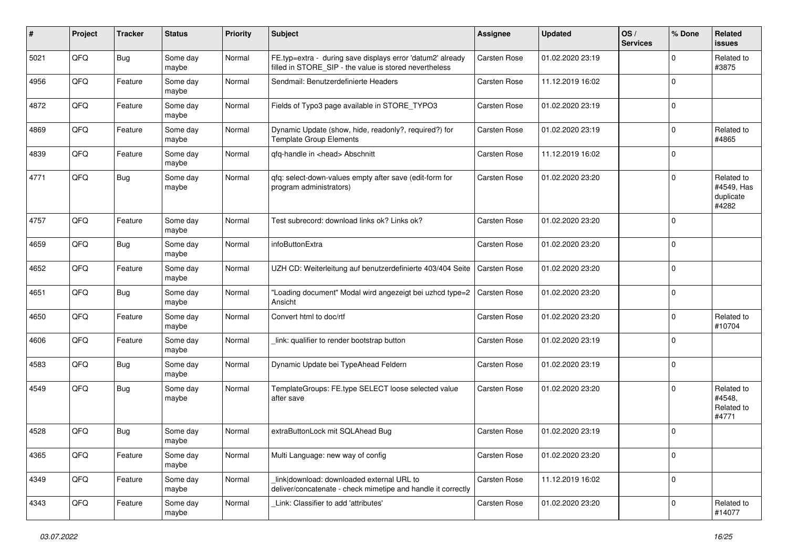| #    | Project | <b>Tracker</b> | <b>Status</b>     | <b>Priority</b> | Subject                                                                                                              | <b>Assignee</b>     | <b>Updated</b>   | OS/<br><b>Services</b> | % Done      | Related<br>issues                              |
|------|---------|----------------|-------------------|-----------------|----------------------------------------------------------------------------------------------------------------------|---------------------|------------------|------------------------|-------------|------------------------------------------------|
| 5021 | QFQ     | Bug            | Some day<br>maybe | Normal          | FE.typ=extra - during save displays error 'datum2' already<br>filled in STORE_SIP - the value is stored nevertheless | Carsten Rose        | 01.02.2020 23:19 |                        | $\Omega$    | Related to<br>#3875                            |
| 4956 | QFQ     | Feature        | Some day<br>maybe | Normal          | Sendmail: Benutzerdefinierte Headers                                                                                 | Carsten Rose        | 11.12.2019 16:02 |                        | $\Omega$    |                                                |
| 4872 | QFQ     | Feature        | Some day<br>maybe | Normal          | Fields of Typo3 page available in STORE_TYPO3                                                                        | Carsten Rose        | 01.02.2020 23:19 |                        | $\Omega$    |                                                |
| 4869 | QFQ     | Feature        | Some day<br>maybe | Normal          | Dynamic Update (show, hide, readonly?, required?) for<br><b>Template Group Elements</b>                              | Carsten Rose        | 01.02.2020 23:19 |                        | $\Omega$    | Related to<br>#4865                            |
| 4839 | QFQ     | Feature        | Some day<br>maybe | Normal          | qfq-handle in <head> Abschnitt</head>                                                                                | Carsten Rose        | 11.12.2019 16:02 |                        | $\Omega$    |                                                |
| 4771 | QFQ     | Bug            | Some day<br>maybe | Normal          | qfq: select-down-values empty after save (edit-form for<br>program administrators)                                   | Carsten Rose        | 01.02.2020 23:20 |                        | $\Omega$    | Related to<br>#4549, Has<br>duplicate<br>#4282 |
| 4757 | QFQ     | Feature        | Some day<br>maybe | Normal          | Test subrecord: download links ok? Links ok?                                                                         | Carsten Rose        | 01.02.2020 23:20 |                        | $\mathbf 0$ |                                                |
| 4659 | QFQ     | Bug            | Some day<br>maybe | Normal          | infoButtonExtra                                                                                                      | Carsten Rose        | 01.02.2020 23:20 |                        | $\Omega$    |                                                |
| 4652 | QFQ     | Feature        | Some day<br>maybe | Normal          | UZH CD: Weiterleitung auf benutzerdefinierte 403/404 Seite                                                           | <b>Carsten Rose</b> | 01.02.2020 23:20 |                        | $\Omega$    |                                                |
| 4651 | QFQ     | Bug            | Some day<br>maybe | Normal          | "Loading document" Modal wird angezeigt bei uzhcd type=2<br>Ansicht                                                  | Carsten Rose        | 01.02.2020 23:20 |                        | $\mathbf 0$ |                                                |
| 4650 | QFQ     | Feature        | Some day<br>maybe | Normal          | Convert html to doc/rtf                                                                                              | Carsten Rose        | 01.02.2020 23:20 |                        | $\Omega$    | Related to<br>#10704                           |
| 4606 | QFQ     | Feature        | Some day<br>maybe | Normal          | link: qualifier to render bootstrap button                                                                           | Carsten Rose        | 01.02.2020 23:19 |                        | $\Omega$    |                                                |
| 4583 | QFQ     | Bug            | Some day<br>maybe | Normal          | Dynamic Update bei TypeAhead Feldern                                                                                 | Carsten Rose        | 01.02.2020 23:19 |                        | $\Omega$    |                                                |
| 4549 | QFQ     | Bug            | Some day<br>maybe | Normal          | TemplateGroups: FE.type SELECT loose selected value<br>after save                                                    | Carsten Rose        | 01.02.2020 23:20 |                        | $\Omega$    | Related to<br>#4548,<br>Related to<br>#4771    |
| 4528 | QFQ     | <b>Bug</b>     | Some day<br>maybe | Normal          | extraButtonLock mit SQLAhead Bug                                                                                     | <b>Carsten Rose</b> | 01.02.2020 23:19 |                        | $\Omega$    |                                                |
| 4365 | QFQ     | Feature        | Some day<br>maybe | Normal          | Multi Language: new way of config                                                                                    | Carsten Rose        | 01.02.2020 23:20 |                        | 0           |                                                |
| 4349 | QFQ     | Feature        | Some day<br>maybe | Normal          | link download: downloaded external URL to<br>deliver/concatenate - check mimetipe and handle it correctly            | Carsten Rose        | 11.12.2019 16:02 |                        | 0           |                                                |
| 4343 | QFQ     | Feature        | Some day<br>maybe | Normal          | Link: Classifier to add 'attributes'                                                                                 | Carsten Rose        | 01.02.2020 23:20 |                        | $\mathbf 0$ | Related to<br>#14077                           |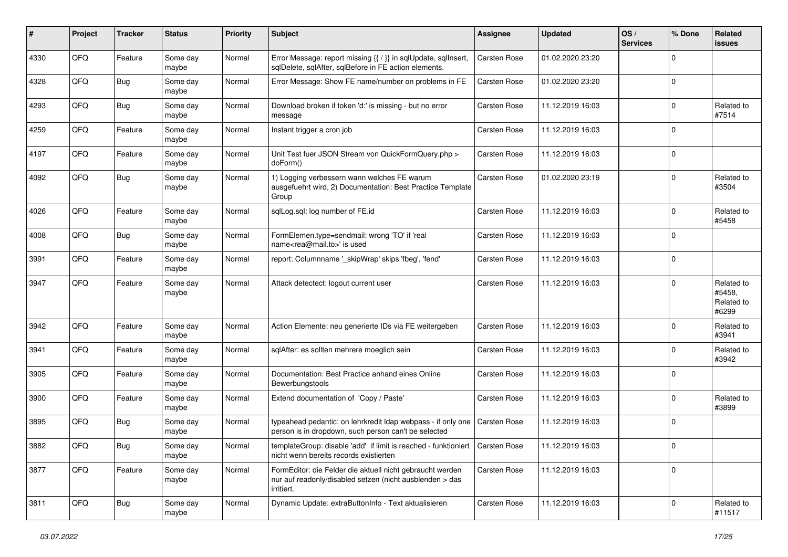| ∦    | Project | <b>Tracker</b> | <b>Status</b>     | <b>Priority</b> | <b>Subject</b>                                                                                                                      | <b>Assignee</b>     | <b>Updated</b>   | OS/<br><b>Services</b> | % Done      | Related<br>issues                           |
|------|---------|----------------|-------------------|-----------------|-------------------------------------------------------------------------------------------------------------------------------------|---------------------|------------------|------------------------|-------------|---------------------------------------------|
| 4330 | QFQ     | Feature        | Some day<br>maybe | Normal          | Error Message: report missing {{ / }} in sqlUpdate, sqlInsert,<br>sqlDelete, sqlAfter, sqlBefore in FE action elements.             | <b>Carsten Rose</b> | 01.02.2020 23:20 |                        | $\Omega$    |                                             |
| 4328 | QFQ     | <b>Bug</b>     | Some day<br>maybe | Normal          | Error Message: Show FE name/number on problems in FE                                                                                | Carsten Rose        | 01.02.2020 23:20 |                        | $\Omega$    |                                             |
| 4293 | QFQ     | Bug            | Some day<br>maybe | Normal          | Download broken if token 'd:' is missing - but no error<br>message                                                                  | Carsten Rose        | 11.12.2019 16:03 |                        | $\Omega$    | Related to<br>#7514                         |
| 4259 | QFQ     | Feature        | Some day<br>maybe | Normal          | Instant trigger a cron job                                                                                                          | <b>Carsten Rose</b> | 11.12.2019 16:03 |                        | $\Omega$    |                                             |
| 4197 | QFQ     | Feature        | Some day<br>maybe | Normal          | Unit Test fuer JSON Stream von QuickFormQuery.php ><br>doForm()                                                                     | Carsten Rose        | 11.12.2019 16:03 |                        | $\mathbf 0$ |                                             |
| 4092 | QFQ     | Bug            | Some day<br>maybe | Normal          | 1) Logging verbessern wann welches FE warum<br>ausgefuehrt wird, 2) Documentation: Best Practice Template<br>Group                  | Carsten Rose        | 01.02.2020 23:19 |                        | $\Omega$    | Related to<br>#3504                         |
| 4026 | QFQ     | Feature        | Some day<br>maybe | Normal          | sqlLog.sql: log number of FE.id                                                                                                     | <b>Carsten Rose</b> | 11.12.2019 16:03 |                        | $\Omega$    | Related to<br>#5458                         |
| 4008 | QFQ     | Bug            | Some day<br>maybe | Normal          | FormElemen.type=sendmail: wrong 'TO' if 'real<br>name <rea@mail.to>' is used</rea@mail.to>                                          | Carsten Rose        | 11.12.2019 16:03 |                        | $\Omega$    |                                             |
| 3991 | QFQ     | Feature        | Some day<br>maybe | Normal          | report: Columnname '_skipWrap' skips 'fbeg', 'fend'                                                                                 | Carsten Rose        | 11.12.2019 16:03 |                        | $\Omega$    |                                             |
| 3947 | QFQ     | Feature        | Some day<br>maybe | Normal          | Attack detectect: logout current user                                                                                               | <b>Carsten Rose</b> | 11.12.2019 16:03 |                        | $\Omega$    | Related to<br>#5458,<br>Related to<br>#6299 |
| 3942 | QFQ     | Feature        | Some day<br>maybe | Normal          | Action Elemente: neu generierte IDs via FE weitergeben                                                                              | Carsten Rose        | 11.12.2019 16:03 |                        | $\Omega$    | Related to<br>#3941                         |
| 3941 | QFQ     | Feature        | Some day<br>maybe | Normal          | sqlAfter: es sollten mehrere moeglich sein                                                                                          | Carsten Rose        | 11.12.2019 16:03 |                        | $\mathbf 0$ | Related to<br>#3942                         |
| 3905 | QFQ     | Feature        | Some day<br>maybe | Normal          | Documentation: Best Practice anhand eines Online<br>Bewerbungstools                                                                 | Carsten Rose        | 11.12.2019 16:03 |                        | $\Omega$    |                                             |
| 3900 | QFQ     | Feature        | Some day<br>maybe | Normal          | Extend documentation of 'Copy / Paste'                                                                                              | Carsten Rose        | 11.12.2019 16:03 |                        | $\Omega$    | Related to<br>#3899                         |
| 3895 | QFQ     | Bug            | Some day<br>maybe | Normal          | typeahead pedantic: on lehrkredit Idap webpass - if only one<br>person is in dropdown, such person can't be selected                | Carsten Rose        | 11.12.2019 16:03 |                        | $\Omega$    |                                             |
| 3882 | QFQ     | Bug            | Some day<br>maybe | Normal          | templateGroup: disable 'add' if limit is reached - funktioniert   Carsten Rose<br>nicht wenn bereits records existierten            |                     | 11.12.2019 16:03 |                        |             |                                             |
| 3877 | QFQ     | Feature        | Some day<br>maybe | Normal          | FormEditor: die Felder die aktuell nicht gebraucht werden<br>nur auf readonly/disabled setzen (nicht ausblenden > das<br>irritiert. | Carsten Rose        | 11.12.2019 16:03 |                        | $\mathbf 0$ |                                             |
| 3811 | QFQ     | <b>Bug</b>     | Some day<br>maybe | Normal          | Dynamic Update: extraButtonInfo - Text aktualisieren                                                                                | Carsten Rose        | 11.12.2019 16:03 |                        | $\mathbf 0$ | Related to<br>#11517                        |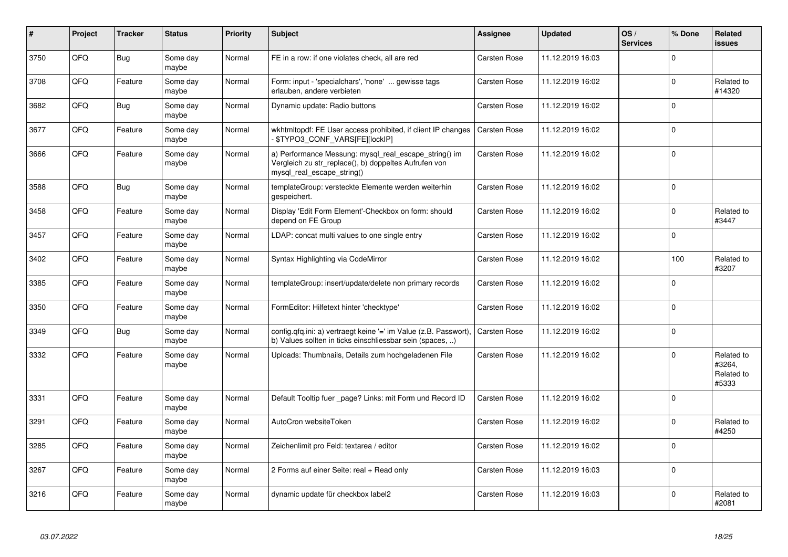| $\vert$ # | Project | <b>Tracker</b> | <b>Status</b>     | <b>Priority</b> | <b>Subject</b>                                                                                                                               | Assignee            | <b>Updated</b>   | OS/<br><b>Services</b> | % Done      | Related<br><b>issues</b>                    |
|-----------|---------|----------------|-------------------|-----------------|----------------------------------------------------------------------------------------------------------------------------------------------|---------------------|------------------|------------------------|-------------|---------------------------------------------|
| 3750      | QFQ     | Bug            | Some day<br>maybe | Normal          | FE in a row: if one violates check, all are red                                                                                              | <b>Carsten Rose</b> | 11.12.2019 16:03 |                        | $\Omega$    |                                             |
| 3708      | QFQ     | Feature        | Some day<br>maybe | Normal          | Form: input - 'specialchars', 'none'  gewisse tags<br>erlauben, andere verbieten                                                             | <b>Carsten Rose</b> | 11.12.2019 16:02 |                        | $\Omega$    | Related to<br>#14320                        |
| 3682      | QFQ     | <b>Bug</b>     | Some day<br>maybe | Normal          | Dynamic update: Radio buttons                                                                                                                | <b>Carsten Rose</b> | 11.12.2019 16:02 |                        | $\Omega$    |                                             |
| 3677      | QFQ     | Feature        | Some day<br>maybe | Normal          | wkhtmitopdf: FE User access prohibited, if client IP changes<br>\$TYPO3 CONF VARS[FE][lockIP]                                                | <b>Carsten Rose</b> | 11.12.2019 16:02 |                        | $\Omega$    |                                             |
| 3666      | QFQ     | Feature        | Some day<br>maybe | Normal          | a) Performance Messung: mysql_real_escape_string() im<br>Vergleich zu str replace(), b) doppeltes Aufrufen von<br>mysql real escape string() | <b>Carsten Rose</b> | 11.12.2019 16:02 |                        | $\Omega$    |                                             |
| 3588      | QFQ     | <b>Bug</b>     | Some day<br>maybe | Normal          | templateGroup: versteckte Elemente werden weiterhin<br>gespeichert.                                                                          | <b>Carsten Rose</b> | 11.12.2019 16:02 |                        | $\Omega$    |                                             |
| 3458      | QFQ     | Feature        | Some day<br>maybe | Normal          | Display 'Edit Form Element'-Checkbox on form: should<br>depend on FE Group                                                                   | <b>Carsten Rose</b> | 11.12.2019 16:02 |                        | $\Omega$    | Related to<br>#3447                         |
| 3457      | QFQ     | Feature        | Some day<br>maybe | Normal          | LDAP: concat multi values to one single entry                                                                                                | <b>Carsten Rose</b> | 11.12.2019 16:02 |                        | $\Omega$    |                                             |
| 3402      | QFQ     | Feature        | Some day<br>maybe | Normal          | Syntax Highlighting via CodeMirror                                                                                                           | Carsten Rose        | 11.12.2019 16:02 |                        | 100         | Related to<br>#3207                         |
| 3385      | QFQ     | Feature        | Some day<br>maybe | Normal          | templateGroup: insert/update/delete non primary records                                                                                      | Carsten Rose        | 11.12.2019 16:02 |                        | $\Omega$    |                                             |
| 3350      | QFQ     | Feature        | Some day<br>maybe | Normal          | FormEditor: Hilfetext hinter 'checktype'                                                                                                     | Carsten Rose        | 11.12.2019 16:02 |                        | $\Omega$    |                                             |
| 3349      | QFQ     | <b>Bug</b>     | Some day<br>maybe | Normal          | config.qfq.ini: a) vertraegt keine '=' im Value (z.B. Passwort),<br>b) Values sollten in ticks einschliessbar sein (spaces, )                | Carsten Rose        | 11.12.2019 16:02 |                        | $\Omega$    |                                             |
| 3332      | QFQ     | Feature        | Some day<br>maybe | Normal          | Uploads: Thumbnails, Details zum hochgeladenen File                                                                                          | Carsten Rose        | 11.12.2019 16:02 |                        | $\Omega$    | Related to<br>#3264,<br>Related to<br>#5333 |
| 3331      | QFQ     | Feature        | Some day<br>maybe | Normal          | Default Tooltip fuer page? Links: mit Form und Record ID                                                                                     | <b>Carsten Rose</b> | 11.12.2019 16:02 |                        | $\mathbf 0$ |                                             |
| 3291      | QFQ     | Feature        | Some day<br>maybe | Normal          | AutoCron websiteToken                                                                                                                        | <b>Carsten Rose</b> | 11.12.2019 16:02 |                        | $\Omega$    | Related to<br>#4250                         |
| 3285      | QFQ     | Feature        | Some day<br>maybe | Normal          | Zeichenlimit pro Feld: textarea / editor                                                                                                     | <b>Carsten Rose</b> | 11.12.2019 16:02 |                        | $\Omega$    |                                             |
| 3267      | QFQ     | Feature        | Some day<br>maybe | Normal          | 2 Forms auf einer Seite: real + Read only                                                                                                    | <b>Carsten Rose</b> | 11.12.2019 16:03 |                        | $\Omega$    |                                             |
| 3216      | QFQ     | Feature        | Some day<br>maybe | Normal          | dynamic update für checkbox label2                                                                                                           | <b>Carsten Rose</b> | 11.12.2019 16:03 |                        | $\Omega$    | Related to<br>#2081                         |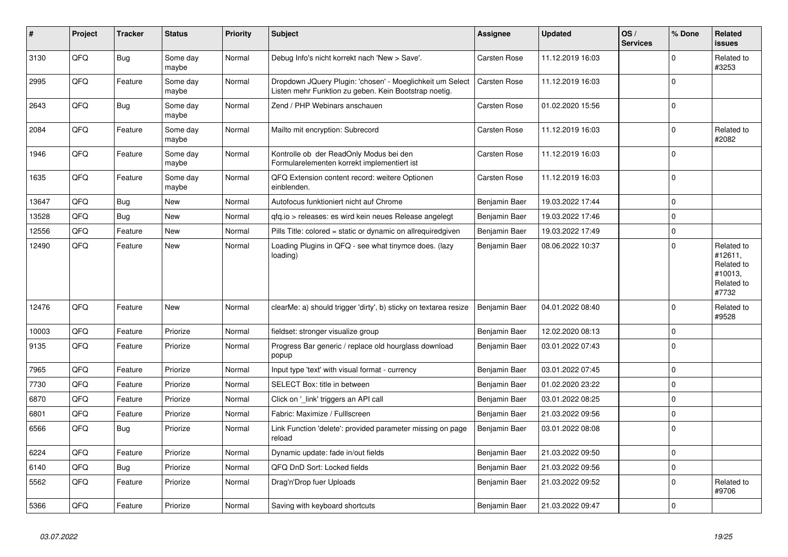| $\vert$ # | Project | <b>Tracker</b> | <b>Status</b>     | <b>Priority</b> | <b>Subject</b>                                                                                                     | Assignee            | <b>Updated</b>   | OS/<br><b>Services</b> | % Done      | Related<br><b>issues</b>                                              |
|-----------|---------|----------------|-------------------|-----------------|--------------------------------------------------------------------------------------------------------------------|---------------------|------------------|------------------------|-------------|-----------------------------------------------------------------------|
| 3130      | QFQ     | <b>Bug</b>     | Some day<br>maybe | Normal          | Debug Info's nicht korrekt nach 'New > Save'.                                                                      | Carsten Rose        | 11.12.2019 16:03 |                        | $\Omega$    | Related to<br>#3253                                                   |
| 2995      | QFQ     | Feature        | Some day<br>maybe | Normal          | Dropdown JQuery Plugin: 'chosen' - Moeglichkeit um Select<br>Listen mehr Funktion zu geben. Kein Bootstrap noetig. | Carsten Rose        | 11.12.2019 16:03 |                        | $\mathbf 0$ |                                                                       |
| 2643      | QFQ     | Bug            | Some day<br>maybe | Normal          | Zend / PHP Webinars anschauen                                                                                      | <b>Carsten Rose</b> | 01.02.2020 15:56 |                        | $\mathbf 0$ |                                                                       |
| 2084      | QFQ     | Feature        | Some day<br>maybe | Normal          | Mailto mit encryption: Subrecord                                                                                   | <b>Carsten Rose</b> | 11.12.2019 16:03 |                        | $\mathbf 0$ | Related to<br>#2082                                                   |
| 1946      | QFQ     | Feature        | Some day<br>maybe | Normal          | Kontrolle ob der ReadOnly Modus bei den<br>Formularelementen korrekt implementiert ist                             | <b>Carsten Rose</b> | 11.12.2019 16:03 |                        | $\mathbf 0$ |                                                                       |
| 1635      | QFQ     | Feature        | Some day<br>maybe | Normal          | QFQ Extension content record: weitere Optionen<br>einblenden.                                                      | <b>Carsten Rose</b> | 11.12.2019 16:03 |                        | $\Omega$    |                                                                       |
| 13647     | QFQ     | Bug            | New               | Normal          | Autofocus funktioniert nicht auf Chrome                                                                            | Benjamin Baer       | 19.03.2022 17:44 |                        | $\mathbf 0$ |                                                                       |
| 13528     | QFQ     | <b>Bug</b>     | <b>New</b>        | Normal          | gfg.io > releases: es wird kein neues Release angelegt                                                             | Benjamin Baer       | 19.03.2022 17:46 |                        | $\mathbf 0$ |                                                                       |
| 12556     | QFQ     | Feature        | <b>New</b>        | Normal          | Pills Title: colored = static or dynamic on allrequiredgiven                                                       | Benjamin Baer       | 19.03.2022 17:49 |                        | $\pmb{0}$   |                                                                       |
| 12490     | QFQ     | Feature        | New               | Normal          | Loading Plugins in QFQ - see what tinymce does. (lazy<br>loading)                                                  | Benjamin Baer       | 08.06.2022 10:37 |                        | $\Omega$    | Related to<br>#12611,<br>Related to<br>#10013,<br>Related to<br>#7732 |
| 12476     | QFQ     | Feature        | <b>New</b>        | Normal          | clearMe: a) should trigger 'dirty', b) sticky on textarea resize                                                   | Benjamin Baer       | 04.01.2022 08:40 |                        | $\Omega$    | Related to<br>#9528                                                   |
| 10003     | QFQ     | Feature        | Priorize          | Normal          | fieldset: stronger visualize group                                                                                 | Benjamin Baer       | 12.02.2020 08:13 |                        | $\mathbf 0$ |                                                                       |
| 9135      | QFQ     | Feature        | Priorize          | Normal          | Progress Bar generic / replace old hourglass download<br>popup                                                     | Benjamin Baer       | 03.01.2022 07:43 |                        | $\mathbf 0$ |                                                                       |
| 7965      | QFQ     | Feature        | Priorize          | Normal          | Input type 'text' with visual format - currency                                                                    | Benjamin Baer       | 03.01.2022 07:45 |                        | $\Omega$    |                                                                       |
| 7730      | QFQ     | Feature        | Priorize          | Normal          | SELECT Box: title in between                                                                                       | Benjamin Baer       | 01.02.2020 23:22 |                        | $\mathbf 0$ |                                                                       |
| 6870      | QFQ     | Feature        | Priorize          | Normal          | Click on '_link' triggers an API call                                                                              | Benjamin Baer       | 03.01.2022 08:25 |                        | $\mathbf 0$ |                                                                       |
| 6801      | QFQ     | Feature        | Priorize          | Normal          | Fabric: Maximize / FullIscreen                                                                                     | Benjamin Baer       | 21.03.2022 09:56 |                        | $\mathbf 0$ |                                                                       |
| 6566      | QFQ     | <b>Bug</b>     | Priorize          | Normal          | Link Function 'delete': provided parameter missing on page<br>reload                                               | Benjamin Baer       | 03.01.2022 08:08 |                        | $\mathbf 0$ |                                                                       |
| 6224      | QFQ     | Feature        | Priorize          | Normal          | Dynamic update: fade in/out fields                                                                                 | Benjamin Baer       | 21.03.2022 09:50 |                        | $\pmb{0}$   |                                                                       |
| 6140      | QFQ     | Bug            | Priorize          | Normal          | QFQ DnD Sort: Locked fields                                                                                        | Benjamin Baer       | 21.03.2022 09:56 |                        | $\mathbf 0$ |                                                                       |
| 5562      | QFQ     | Feature        | Priorize          | Normal          | Drag'n'Drop fuer Uploads                                                                                           | Benjamin Baer       | 21.03.2022 09:52 |                        | $\mathbf 0$ | Related to<br>#9706                                                   |
| 5366      | QFQ     | Feature        | Priorize          | Normal          | Saving with keyboard shortcuts                                                                                     | Benjamin Baer       | 21.03.2022 09:47 |                        | $\mathbf 0$ |                                                                       |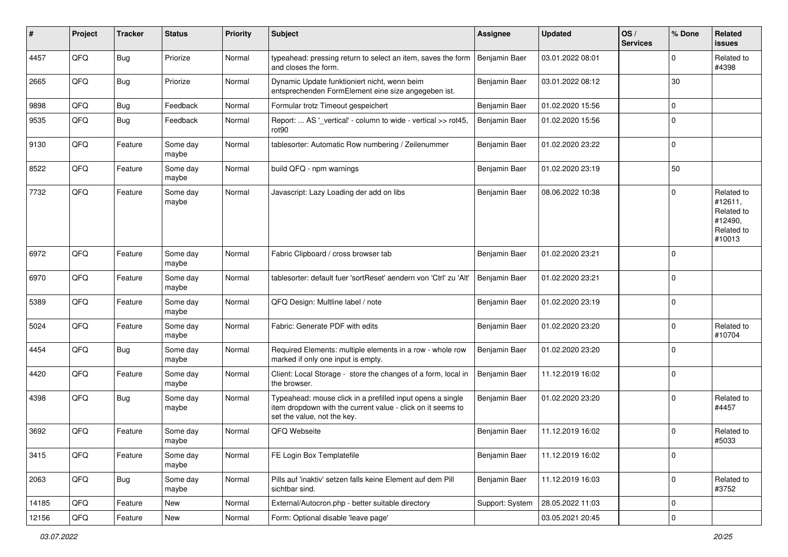| ∦     | Project | <b>Tracker</b> | <b>Status</b>     | <b>Priority</b> | Subject                                                                                                                                                  | <b>Assignee</b> | <b>Updated</b>   | OS/<br><b>Services</b> | % Done      | Related<br>issues                                                      |
|-------|---------|----------------|-------------------|-----------------|----------------------------------------------------------------------------------------------------------------------------------------------------------|-----------------|------------------|------------------------|-------------|------------------------------------------------------------------------|
| 4457  | QFQ     | Bug            | Priorize          | Normal          | typeahead: pressing return to select an item, saves the form<br>and closes the form.                                                                     | Benjamin Baer   | 03.01.2022 08:01 |                        | $\Omega$    | Related to<br>#4398                                                    |
| 2665  | QFQ     | <b>Bug</b>     | Priorize          | Normal          | Dynamic Update funktioniert nicht, wenn beim<br>entsprechenden FormElement eine size angegeben ist.                                                      | Benjamin Baer   | 03.01.2022 08:12 |                        | 30          |                                                                        |
| 9898  | QFQ     | <b>Bug</b>     | Feedback          | Normal          | Formular trotz Timeout gespeichert                                                                                                                       | Benjamin Baer   | 01.02.2020 15:56 |                        | $\Omega$    |                                                                        |
| 9535  | QFQ     | <b>Bug</b>     | Feedback          | Normal          | Report:  AS '_vertical' - column to wide - vertical >> rot45,<br>rot <sub>90</sub>                                                                       | Benjamin Baer   | 01.02.2020 15:56 |                        | $\Omega$    |                                                                        |
| 9130  | QFQ     | Feature        | Some day<br>maybe | Normal          | tablesorter: Automatic Row numbering / Zeilenummer                                                                                                       | Benjamin Baer   | 01.02.2020 23:22 |                        | $\Omega$    |                                                                        |
| 8522  | QFQ     | Feature        | Some day<br>maybe | Normal          | build QFQ - npm warnings                                                                                                                                 | Benjamin Baer   | 01.02.2020 23:19 |                        | 50          |                                                                        |
| 7732  | QFQ     | Feature        | Some day<br>maybe | Normal          | Javascript: Lazy Loading der add on libs                                                                                                                 | Benjamin Baer   | 08.06.2022 10:38 |                        | $\Omega$    | Related to<br>#12611,<br>Related to<br>#12490,<br>Related to<br>#10013 |
| 6972  | QFQ     | Feature        | Some day<br>maybe | Normal          | Fabric Clipboard / cross browser tab                                                                                                                     | Benjamin Baer   | 01.02.2020 23:21 |                        | $\mathbf 0$ |                                                                        |
| 6970  | QFQ     | Feature        | Some day<br>maybe | Normal          | tablesorter: default fuer 'sortReset' aendern von 'Ctrl' zu 'Alt'                                                                                        | Benjamin Baer   | 01.02.2020 23:21 |                        | $\mathbf 0$ |                                                                        |
| 5389  | QFQ     | Feature        | Some day<br>maybe | Normal          | QFQ Design: Multline label / note                                                                                                                        | Benjamin Baer   | 01.02.2020 23:19 |                        | $\mathbf 0$ |                                                                        |
| 5024  | QFQ     | Feature        | Some day<br>maybe | Normal          | Fabric: Generate PDF with edits                                                                                                                          | Benjamin Baer   | 01.02.2020 23:20 |                        | $\Omega$    | Related to<br>#10704                                                   |
| 4454  | QFQ     | Bug            | Some day<br>maybe | Normal          | Required Elements: multiple elements in a row - whole row<br>marked if only one input is empty.                                                          | Benjamin Baer   | 01.02.2020 23:20 |                        | $\mathbf 0$ |                                                                        |
| 4420  | QFQ     | Feature        | Some day<br>maybe | Normal          | Client: Local Storage - store the changes of a form, local in<br>the browser.                                                                            | Benjamin Baer   | 11.12.2019 16:02 |                        | $\mathbf 0$ |                                                                        |
| 4398  | QFQ     | Bug            | Some day<br>maybe | Normal          | Typeahead: mouse click in a prefilled input opens a single<br>item dropdown with the current value - click on it seems to<br>set the value, not the key. | Benjamin Baer   | 01.02.2020 23:20 |                        | $\Omega$    | Related to<br>#4457                                                    |
| 3692  | QFQ     | Feature        | Some day<br>maybe | Normal          | QFQ Webseite                                                                                                                                             | Benjamin Baer   | 11.12.2019 16:02 |                        | $\Omega$    | Related to<br>#5033                                                    |
| 3415  | QFQ     | Feature        | Some day<br>maybe | Normal          | FE Login Box Templatefile                                                                                                                                | Benjamin Baer   | 11.12.2019 16:02 |                        | 0           |                                                                        |
| 2063  | QFQ     | <b>Bug</b>     | Some day<br>maybe | Normal          | Pills auf 'inaktiv' setzen falls keine Element auf dem Pill<br>sichtbar sind.                                                                            | Benjamin Baer   | 11.12.2019 16:03 |                        | 0           | Related to<br>#3752                                                    |
| 14185 | QFQ     | Feature        | New               | Normal          | External/Autocron.php - better suitable directory                                                                                                        | Support: System | 28.05.2022 11:03 |                        | 0           |                                                                        |
| 12156 | QFQ     | Feature        | New               | Normal          | Form: Optional disable 'leave page'                                                                                                                      |                 | 03.05.2021 20:45 |                        | $\pmb{0}$   |                                                                        |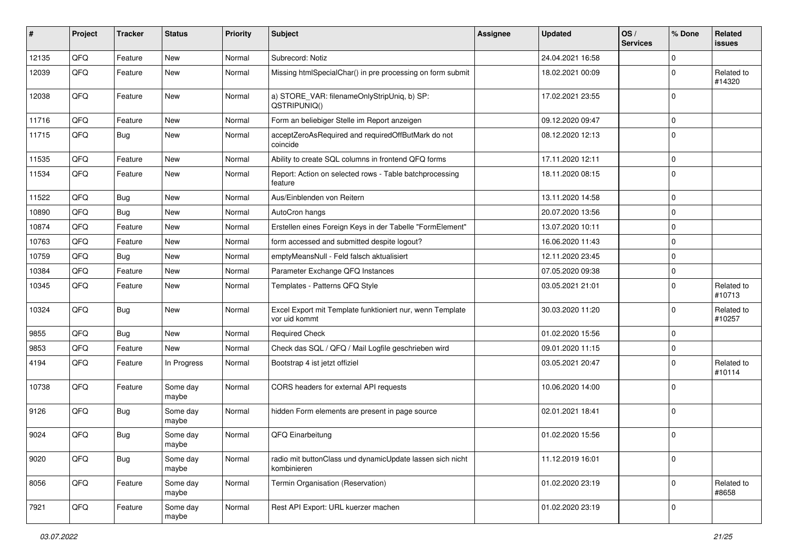| #     | Project | <b>Tracker</b> | <b>Status</b>     | <b>Priority</b> | <b>Subject</b>                                                             | <b>Assignee</b> | <b>Updated</b>   | OS/<br><b>Services</b> | % Done      | Related<br><b>issues</b> |
|-------|---------|----------------|-------------------|-----------------|----------------------------------------------------------------------------|-----------------|------------------|------------------------|-------------|--------------------------|
| 12135 | QFQ     | Feature        | New               | Normal          | Subrecord: Notiz                                                           |                 | 24.04.2021 16:58 |                        | $\Omega$    |                          |
| 12039 | QFQ     | Feature        | New               | Normal          | Missing htmlSpecialChar() in pre processing on form submit                 |                 | 18.02.2021 00:09 |                        | $\Omega$    | Related to<br>#14320     |
| 12038 | QFQ     | Feature        | New               | Normal          | a) STORE_VAR: filenameOnlyStripUniq, b) SP:<br>QSTRIPUNIQ()                |                 | 17.02.2021 23:55 |                        | $\Omega$    |                          |
| 11716 | QFQ     | Feature        | <b>New</b>        | Normal          | Form an beliebiger Stelle im Report anzeigen                               |                 | 09.12.2020 09:47 |                        | $\mathbf 0$ |                          |
| 11715 | QFQ     | <b>Bug</b>     | New               | Normal          | acceptZeroAsRequired and requiredOffButMark do not<br>coincide             |                 | 08.12.2020 12:13 |                        | $\mathbf 0$ |                          |
| 11535 | QFQ     | Feature        | <b>New</b>        | Normal          | Ability to create SQL columns in frontend QFQ forms                        |                 | 17.11.2020 12:11 |                        | $\mathbf 0$ |                          |
| 11534 | QFQ     | Feature        | New               | Normal          | Report: Action on selected rows - Table batchprocessing<br>feature         |                 | 18.11.2020 08:15 |                        | $\Omega$    |                          |
| 11522 | QFQ     | <b>Bug</b>     | <b>New</b>        | Normal          | Aus/Einblenden von Reitern                                                 |                 | 13.11.2020 14:58 |                        | $\mathbf 0$ |                          |
| 10890 | QFQ     | <b>Bug</b>     | New               | Normal          | AutoCron hangs                                                             |                 | 20.07.2020 13:56 |                        | $\Omega$    |                          |
| 10874 | QFQ     | Feature        | <b>New</b>        | Normal          | Erstellen eines Foreign Keys in der Tabelle "FormElement"                  |                 | 13.07.2020 10:11 |                        | $\Omega$    |                          |
| 10763 | QFQ     | Feature        | New               | Normal          | form accessed and submitted despite logout?                                |                 | 16.06.2020 11:43 |                        | $\mathbf 0$ |                          |
| 10759 | QFQ     | Bug            | <b>New</b>        | Normal          | emptyMeansNull - Feld falsch aktualisiert                                  |                 | 12.11.2020 23:45 |                        | $\Omega$    |                          |
| 10384 | QFQ     | Feature        | <b>New</b>        | Normal          | Parameter Exchange QFQ Instances                                           |                 | 07.05.2020 09:38 |                        | $\mathbf 0$ |                          |
| 10345 | QFQ     | Feature        | New               | Normal          | Templates - Patterns QFQ Style                                             |                 | 03.05.2021 21:01 |                        | $\Omega$    | Related to<br>#10713     |
| 10324 | QFQ     | <b>Bug</b>     | New               | Normal          | Excel Export mit Template funktioniert nur, wenn Template<br>vor uid kommt |                 | 30.03.2020 11:20 |                        | $\Omega$    | Related to<br>#10257     |
| 9855  | QFQ     | Bug            | New               | Normal          | <b>Required Check</b>                                                      |                 | 01.02.2020 15:56 |                        | $\mathbf 0$ |                          |
| 9853  | QFQ     | Feature        | New               | Normal          | Check das SQL / QFQ / Mail Logfile geschrieben wird                        |                 | 09.01.2020 11:15 |                        | $\mathbf 0$ |                          |
| 4194  | QFQ     | Feature        | In Progress       | Normal          | Bootstrap 4 ist jetzt offiziel                                             |                 | 03.05.2021 20:47 |                        | $\Omega$    | Related to<br>#10114     |
| 10738 | QFQ     | Feature        | Some day<br>maybe | Normal          | CORS headers for external API requests                                     |                 | 10.06.2020 14:00 |                        | $\Omega$    |                          |
| 9126  | QFQ     | <b>Bug</b>     | Some day<br>maybe | Normal          | hidden Form elements are present in page source                            |                 | 02.01.2021 18:41 |                        | $\mathbf 0$ |                          |
| 9024  | QFQ     | <b>Bug</b>     | Some day<br>maybe | Normal          | QFQ Einarbeitung                                                           |                 | 01.02.2020 15:56 |                        | $\mathbf 0$ |                          |
| 9020  | QFQ     | <b>Bug</b>     | Some day<br>maybe | Normal          | radio mit buttonClass und dynamicUpdate lassen sich nicht<br>kombinieren   |                 | 11.12.2019 16:01 |                        | $\mathbf 0$ |                          |
| 8056  | QFQ     | Feature        | Some day<br>maybe | Normal          | Termin Organisation (Reservation)                                          |                 | 01.02.2020 23:19 |                        | $\mathbf 0$ | Related to<br>#8658      |
| 7921  | QFQ     | Feature        | Some day<br>maybe | Normal          | Rest API Export: URL kuerzer machen                                        |                 | 01.02.2020 23:19 |                        | 0           |                          |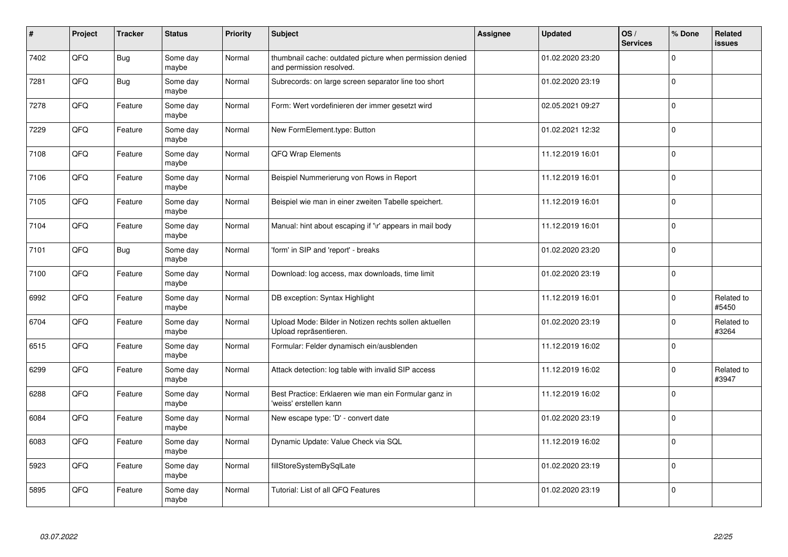| $\vert$ # | Project | <b>Tracker</b> | <b>Status</b>     | <b>Priority</b> | <b>Subject</b>                                                                       | Assignee | <b>Updated</b>   | OS/<br><b>Services</b> | % Done      | Related<br><b>issues</b> |
|-----------|---------|----------------|-------------------|-----------------|--------------------------------------------------------------------------------------|----------|------------------|------------------------|-------------|--------------------------|
| 7402      | QFQ     | <b>Bug</b>     | Some day<br>maybe | Normal          | thumbnail cache: outdated picture when permission denied<br>and permission resolved. |          | 01.02.2020 23:20 |                        | $\Omega$    |                          |
| 7281      | QFQ     | <b>Bug</b>     | Some day<br>maybe | Normal          | Subrecords: on large screen separator line too short                                 |          | 01.02.2020 23:19 |                        | $\Omega$    |                          |
| 7278      | QFQ     | Feature        | Some day<br>maybe | Normal          | Form: Wert vordefinieren der immer gesetzt wird                                      |          | 02.05.2021 09:27 |                        | $\Omega$    |                          |
| 7229      | QFQ     | Feature        | Some day<br>maybe | Normal          | New FormElement.type: Button                                                         |          | 01.02.2021 12:32 |                        | $\Omega$    |                          |
| 7108      | QFQ     | Feature        | Some day<br>maybe | Normal          | QFQ Wrap Elements                                                                    |          | 11.12.2019 16:01 |                        | $\Omega$    |                          |
| 7106      | QFQ     | Feature        | Some day<br>maybe | Normal          | Beispiel Nummerierung von Rows in Report                                             |          | 11.12.2019 16:01 |                        | $\Omega$    |                          |
| 7105      | QFQ     | Feature        | Some day<br>maybe | Normal          | Beispiel wie man in einer zweiten Tabelle speichert.                                 |          | 11.12.2019 16:01 |                        | $\mathbf 0$ |                          |
| 7104      | QFQ     | Feature        | Some day<br>maybe | Normal          | Manual: hint about escaping if '\r' appears in mail body                             |          | 11.12.2019 16:01 |                        | $\Omega$    |                          |
| 7101      | QFQ     | <b>Bug</b>     | Some day<br>maybe | Normal          | 'form' in SIP and 'report' - breaks                                                  |          | 01.02.2020 23:20 |                        | $\Omega$    |                          |
| 7100      | QFQ     | Feature        | Some day<br>maybe | Normal          | Download: log access, max downloads, time limit                                      |          | 01.02.2020 23:19 |                        | $\mathbf 0$ |                          |
| 6992      | QFQ     | Feature        | Some day<br>maybe | Normal          | DB exception: Syntax Highlight                                                       |          | 11.12.2019 16:01 |                        | $\Omega$    | Related to<br>#5450      |
| 6704      | QFQ     | Feature        | Some day<br>maybe | Normal          | Upload Mode: Bilder in Notizen rechts sollen aktuellen<br>Upload repräsentieren.     |          | 01.02.2020 23:19 |                        | $\Omega$    | Related to<br>#3264      |
| 6515      | QFQ     | Feature        | Some day<br>maybe | Normal          | Formular: Felder dynamisch ein/ausblenden                                            |          | 11.12.2019 16:02 |                        | $\mathbf 0$ |                          |
| 6299      | QFQ     | Feature        | Some day<br>maybe | Normal          | Attack detection: log table with invalid SIP access                                  |          | 11.12.2019 16:02 |                        | 0           | Related to<br>#3947      |
| 6288      | QFQ     | Feature        | Some day<br>maybe | Normal          | Best Practice: Erklaeren wie man ein Formular ganz in<br>'weiss' erstellen kann      |          | 11.12.2019 16:02 |                        | $\Omega$    |                          |
| 6084      | QFQ     | Feature        | Some day<br>maybe | Normal          | New escape type: 'D' - convert date                                                  |          | 01.02.2020 23:19 |                        | $\Omega$    |                          |
| 6083      | QFQ     | Feature        | Some day<br>maybe | Normal          | Dynamic Update: Value Check via SQL                                                  |          | 11.12.2019 16:02 |                        | $\Omega$    |                          |
| 5923      | QFQ     | Feature        | Some day<br>maybe | Normal          | fillStoreSystemBySqlLate                                                             |          | 01.02.2020 23:19 |                        | 0           |                          |
| 5895      | QFQ     | Feature        | Some day<br>maybe | Normal          | Tutorial: List of all QFQ Features                                                   |          | 01.02.2020 23:19 |                        | $\Omega$    |                          |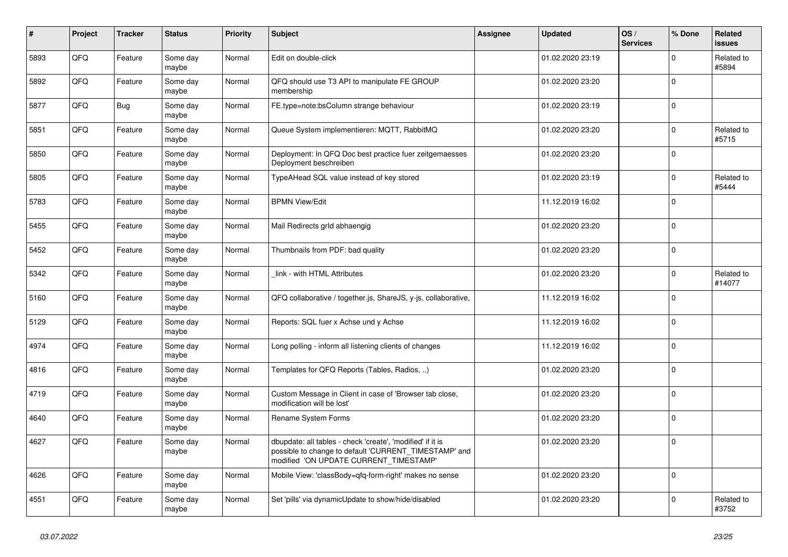| #    | Project | <b>Tracker</b> | <b>Status</b>     | <b>Priority</b> | <b>Subject</b>                                                                                                                                                | Assignee | <b>Updated</b>   | OS/<br><b>Services</b> | % Done      | Related<br><b>issues</b> |
|------|---------|----------------|-------------------|-----------------|---------------------------------------------------------------------------------------------------------------------------------------------------------------|----------|------------------|------------------------|-------------|--------------------------|
| 5893 | QFQ     | Feature        | Some day<br>maybe | Normal          | Edit on double-click                                                                                                                                          |          | 01.02.2020 23:19 |                        | $\Omega$    | Related to<br>#5894      |
| 5892 | QFQ     | Feature        | Some day<br>maybe | Normal          | QFQ should use T3 API to manipulate FE GROUP<br>membership                                                                                                    |          | 01.02.2020 23:20 |                        | $\mathbf 0$ |                          |
| 5877 | QFQ     | <b>Bug</b>     | Some day<br>maybe | Normal          | FE.type=note:bsColumn strange behaviour                                                                                                                       |          | 01.02.2020 23:19 |                        | $\Omega$    |                          |
| 5851 | QFQ     | Feature        | Some day<br>maybe | Normal          | Queue System implementieren: MQTT, RabbitMQ                                                                                                                   |          | 01.02.2020 23:20 |                        | $\Omega$    | Related to<br>#5715      |
| 5850 | QFQ     | Feature        | Some day<br>maybe | Normal          | Deployment: In QFQ Doc best practice fuer zeitgemaesses<br>Deployment beschreiben                                                                             |          | 01.02.2020 23:20 |                        | $\mathbf 0$ |                          |
| 5805 | QFQ     | Feature        | Some day<br>maybe | Normal          | TypeAHead SQL value instead of key stored                                                                                                                     |          | 01.02.2020 23:19 |                        | $\Omega$    | Related to<br>#5444      |
| 5783 | QFQ     | Feature        | Some day<br>maybe | Normal          | <b>BPMN View/Edit</b>                                                                                                                                         |          | 11.12.2019 16:02 |                        | $\mathbf 0$ |                          |
| 5455 | QFQ     | Feature        | Some day<br>maybe | Normal          | Mail Redirects grld abhaengig                                                                                                                                 |          | 01.02.2020 23:20 |                        | $\Omega$    |                          |
| 5452 | QFQ     | Feature        | Some day<br>maybe | Normal          | Thumbnails from PDF: bad quality                                                                                                                              |          | 01.02.2020 23:20 |                        | $\mathbf 0$ |                          |
| 5342 | QFQ     | Feature        | Some day<br>maybe | Normal          | link - with HTML Attributes                                                                                                                                   |          | 01.02.2020 23:20 |                        | $\Omega$    | Related to<br>#14077     |
| 5160 | QFQ     | Feature        | Some day<br>maybe | Normal          | QFQ collaborative / together.js, ShareJS, y-js, collaborative,                                                                                                |          | 11.12.2019 16:02 |                        | $\mathbf 0$ |                          |
| 5129 | QFQ     | Feature        | Some day<br>maybe | Normal          | Reports: SQL fuer x Achse und y Achse                                                                                                                         |          | 11.12.2019 16:02 |                        | $\mathbf 0$ |                          |
| 4974 | QFQ     | Feature        | Some day<br>maybe | Normal          | Long polling - inform all listening clients of changes                                                                                                        |          | 11.12.2019 16:02 |                        | $\Omega$    |                          |
| 4816 | QFQ     | Feature        | Some day<br>maybe | Normal          | Templates for QFQ Reports (Tables, Radios, )                                                                                                                  |          | 01.02.2020 23:20 |                        | $\mathbf 0$ |                          |
| 4719 | QFQ     | Feature        | Some day<br>maybe | Normal          | Custom Message in Client in case of 'Browser tab close,<br>modification will be lost'                                                                         |          | 01.02.2020 23:20 |                        | $\Omega$    |                          |
| 4640 | QFQ     | Feature        | Some day<br>maybe | Normal          | Rename System Forms                                                                                                                                           |          | 01.02.2020 23:20 |                        | $\mathbf 0$ |                          |
| 4627 | QFQ     | Feature        | Some day<br>maybe | Normal          | dbupdate: all tables - check 'create', 'modified' if it is<br>possible to change to default 'CURRENT TIMESTAMP' and<br>modified 'ON UPDATE CURRENT TIMESTAMP' |          | 01.02.2020 23:20 |                        | $\mathbf 0$ |                          |
| 4626 | QFQ     | Feature        | Some day<br>maybe | Normal          | Mobile View: 'classBody=qfq-form-right' makes no sense                                                                                                        |          | 01.02.2020 23:20 |                        | $\mathbf 0$ |                          |
| 4551 | QFQ     | Feature        | Some day<br>maybe | Normal          | Set 'pills' via dynamicUpdate to show/hide/disabled                                                                                                           |          | 01.02.2020 23:20 |                        | $\Omega$    | Related to<br>#3752      |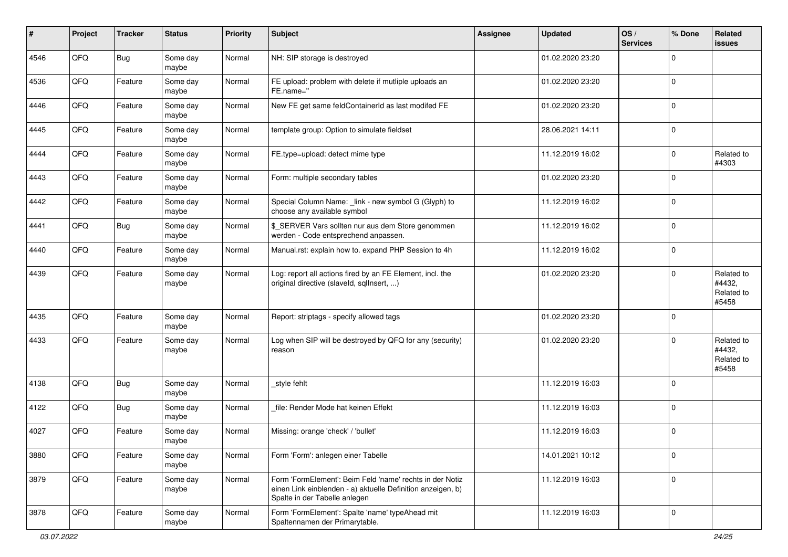| #    | Project | <b>Tracker</b> | <b>Status</b>     | <b>Priority</b> | <b>Subject</b>                                                                                                                                           | <b>Assignee</b> | <b>Updated</b>   | OS/<br><b>Services</b> | % Done      | Related<br><b>issues</b>                    |
|------|---------|----------------|-------------------|-----------------|----------------------------------------------------------------------------------------------------------------------------------------------------------|-----------------|------------------|------------------------|-------------|---------------------------------------------|
| 4546 | QFQ     | Bug            | Some day<br>maybe | Normal          | NH: SIP storage is destroyed                                                                                                                             |                 | 01.02.2020 23:20 |                        | $\Omega$    |                                             |
| 4536 | QFQ     | Feature        | Some day<br>maybe | Normal          | FE upload: problem with delete if mutliple uploads an<br>FE.name="                                                                                       |                 | 01.02.2020 23:20 |                        | 0           |                                             |
| 4446 | QFQ     | Feature        | Some day<br>maybe | Normal          | New FE get same feldContainerId as last modifed FE                                                                                                       |                 | 01.02.2020 23:20 |                        | $\mathbf 0$ |                                             |
| 4445 | QFQ     | Feature        | Some day<br>maybe | Normal          | template group: Option to simulate fieldset                                                                                                              |                 | 28.06.2021 14:11 |                        | $\mathbf 0$ |                                             |
| 4444 | QFQ     | Feature        | Some day<br>maybe | Normal          | FE.type=upload: detect mime type                                                                                                                         |                 | 11.12.2019 16:02 |                        | $\mathbf 0$ | Related to<br>#4303                         |
| 4443 | QFQ     | Feature        | Some day<br>maybe | Normal          | Form: multiple secondary tables                                                                                                                          |                 | 01.02.2020 23:20 |                        | $\Omega$    |                                             |
| 4442 | QFQ     | Feature        | Some day<br>maybe | Normal          | Special Column Name: _link - new symbol G (Glyph) to<br>choose any available symbol                                                                      |                 | 11.12.2019 16:02 |                        | $\mathbf 0$ |                                             |
| 4441 | QFQ     | Bug            | Some day<br>maybe | Normal          | \$_SERVER Vars sollten nur aus dem Store genommen<br>werden - Code entsprechend anpassen.                                                                |                 | 11.12.2019 16:02 |                        | 0           |                                             |
| 4440 | QFQ     | Feature        | Some day<br>maybe | Normal          | Manual.rst: explain how to. expand PHP Session to 4h                                                                                                     |                 | 11.12.2019 16:02 |                        | 0           |                                             |
| 4439 | QFQ     | Feature        | Some day<br>maybe | Normal          | Log: report all actions fired by an FE Element, incl. the<br>original directive (slaveld, sqllnsert, )                                                   |                 | 01.02.2020 23:20 |                        | $\Omega$    | Related to<br>#4432,<br>Related to<br>#5458 |
| 4435 | QFQ     | Feature        | Some day<br>maybe | Normal          | Report: striptags - specify allowed tags                                                                                                                 |                 | 01.02.2020 23:20 |                        | 0           |                                             |
| 4433 | QFQ     | Feature        | Some day<br>maybe | Normal          | Log when SIP will be destroyed by QFQ for any (security)<br>reason                                                                                       |                 | 01.02.2020 23:20 |                        | $\Omega$    | Related to<br>#4432,<br>Related to<br>#5458 |
| 4138 | QFQ     | <b>Bug</b>     | Some day<br>maybe | Normal          | style fehlt                                                                                                                                              |                 | 11.12.2019 16:03 |                        | 0           |                                             |
| 4122 | QFQ     | <b>Bug</b>     | Some day<br>maybe | Normal          | file: Render Mode hat keinen Effekt                                                                                                                      |                 | 11.12.2019 16:03 |                        | 0           |                                             |
| 4027 | QFQ     | Feature        | Some day<br>maybe | Normal          | Missing: orange 'check' / 'bullet'                                                                                                                       |                 | 11.12.2019 16:03 |                        | $\mathbf 0$ |                                             |
| 3880 | QFQ     | Feature        | Some day<br>maybe | Normal          | Form 'Form': anlegen einer Tabelle                                                                                                                       |                 | 14.01.2021 10:12 |                        | 0           |                                             |
| 3879 | QFG     | Feature        | Some day<br>maybe | Normal          | Form 'FormElement': Beim Feld 'name' rechts in der Notiz<br>einen Link einblenden - a) aktuelle Definition anzeigen, b)<br>Spalte in der Tabelle anlegen |                 | 11.12.2019 16:03 |                        | 0           |                                             |
| 3878 | QFQ     | Feature        | Some day<br>maybe | Normal          | Form 'FormElement': Spalte 'name' typeAhead mit<br>Spaltennamen der Primarytable.                                                                        |                 | 11.12.2019 16:03 |                        | 0           |                                             |